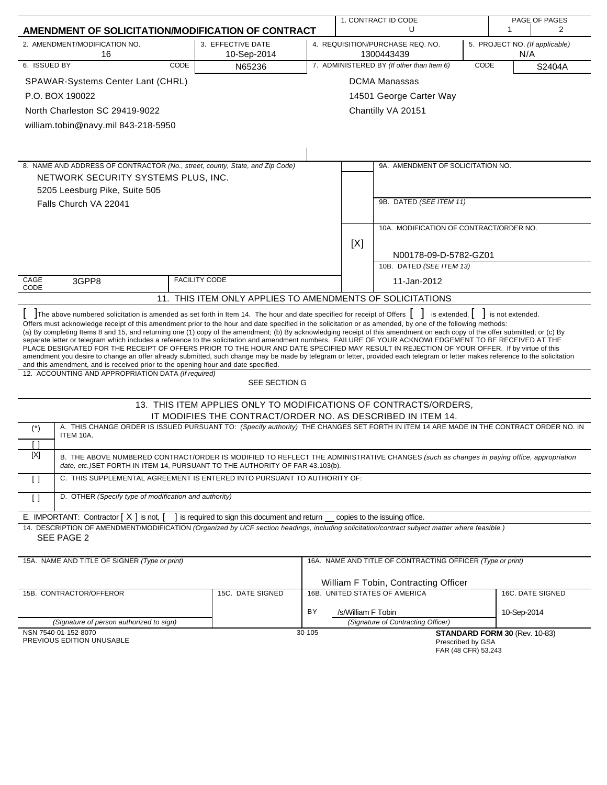|                                                                                                                                                                                                                                                                                                                                                                                                                                                                                                                                                                                                                                                                                                                                                                                                                                                                                                                                                                                    |                                                                                                                                 |        |                                                                                         | 1. CONTRACT ID CODE                                        |      |                                                   | PAGE OF PAGES    |
|------------------------------------------------------------------------------------------------------------------------------------------------------------------------------------------------------------------------------------------------------------------------------------------------------------------------------------------------------------------------------------------------------------------------------------------------------------------------------------------------------------------------------------------------------------------------------------------------------------------------------------------------------------------------------------------------------------------------------------------------------------------------------------------------------------------------------------------------------------------------------------------------------------------------------------------------------------------------------------|---------------------------------------------------------------------------------------------------------------------------------|--------|-----------------------------------------------------------------------------------------|------------------------------------------------------------|------|---------------------------------------------------|------------------|
| AMENDMENT OF SOLICITATION/MODIFICATION OF CONTRACT                                                                                                                                                                                                                                                                                                                                                                                                                                                                                                                                                                                                                                                                                                                                                                                                                                                                                                                                 |                                                                                                                                 |        |                                                                                         | U                                                          |      | 1                                                 | 2                |
| 2. AMENDMENT/MODIFICATION NO.<br>16                                                                                                                                                                                                                                                                                                                                                                                                                                                                                                                                                                                                                                                                                                                                                                                                                                                                                                                                                | 3. EFFECTIVE DATE<br>10-Sep-2014                                                                                                |        | 4. REQUISITION/PURCHASE REQ. NO.<br>5. PROJECT NO. (If applicable)<br>N/A<br>1300443439 |                                                            |      |                                                   |                  |
| 6. ISSUED BY<br>CODE                                                                                                                                                                                                                                                                                                                                                                                                                                                                                                                                                                                                                                                                                                                                                                                                                                                                                                                                                               | N65236                                                                                                                          |        |                                                                                         | 7. ADMINISTERED BY (If other than Item 6)                  | CODE |                                                   | S2404A           |
| SPAWAR-Systems Center Lant (CHRL)                                                                                                                                                                                                                                                                                                                                                                                                                                                                                                                                                                                                                                                                                                                                                                                                                                                                                                                                                  |                                                                                                                                 |        |                                                                                         | <b>DCMA Manassas</b>                                       |      |                                                   |                  |
| P.O. BOX 190022                                                                                                                                                                                                                                                                                                                                                                                                                                                                                                                                                                                                                                                                                                                                                                                                                                                                                                                                                                    |                                                                                                                                 |        |                                                                                         | 14501 George Carter Way                                    |      |                                                   |                  |
| North Charleston SC 29419-9022                                                                                                                                                                                                                                                                                                                                                                                                                                                                                                                                                                                                                                                                                                                                                                                                                                                                                                                                                     |                                                                                                                                 |        |                                                                                         | Chantilly VA 20151                                         |      |                                                   |                  |
| william.tobin@navy.mil 843-218-5950                                                                                                                                                                                                                                                                                                                                                                                                                                                                                                                                                                                                                                                                                                                                                                                                                                                                                                                                                |                                                                                                                                 |        |                                                                                         |                                                            |      |                                                   |                  |
|                                                                                                                                                                                                                                                                                                                                                                                                                                                                                                                                                                                                                                                                                                                                                                                                                                                                                                                                                                                    |                                                                                                                                 |        |                                                                                         |                                                            |      |                                                   |                  |
|                                                                                                                                                                                                                                                                                                                                                                                                                                                                                                                                                                                                                                                                                                                                                                                                                                                                                                                                                                                    |                                                                                                                                 |        |                                                                                         |                                                            |      |                                                   |                  |
| 8. NAME AND ADDRESS OF CONTRACTOR (No., street, county, State, and Zip Code)                                                                                                                                                                                                                                                                                                                                                                                                                                                                                                                                                                                                                                                                                                                                                                                                                                                                                                       |                                                                                                                                 |        |                                                                                         | 9A. AMENDMENT OF SOLICITATION NO.                          |      |                                                   |                  |
| NETWORK SECURITY SYSTEMS PLUS, INC.                                                                                                                                                                                                                                                                                                                                                                                                                                                                                                                                                                                                                                                                                                                                                                                                                                                                                                                                                |                                                                                                                                 |        |                                                                                         |                                                            |      |                                                   |                  |
| 5205 Leesburg Pike, Suite 505                                                                                                                                                                                                                                                                                                                                                                                                                                                                                                                                                                                                                                                                                                                                                                                                                                                                                                                                                      |                                                                                                                                 |        |                                                                                         |                                                            |      |                                                   |                  |
| Falls Church VA 22041                                                                                                                                                                                                                                                                                                                                                                                                                                                                                                                                                                                                                                                                                                                                                                                                                                                                                                                                                              |                                                                                                                                 |        |                                                                                         | 9B. DATED (SEE ITEM 11)                                    |      |                                                   |                  |
|                                                                                                                                                                                                                                                                                                                                                                                                                                                                                                                                                                                                                                                                                                                                                                                                                                                                                                                                                                                    |                                                                                                                                 |        |                                                                                         |                                                            |      |                                                   |                  |
|                                                                                                                                                                                                                                                                                                                                                                                                                                                                                                                                                                                                                                                                                                                                                                                                                                                                                                                                                                                    |                                                                                                                                 |        |                                                                                         | 10A. MODIFICATION OF CONTRACT/ORDER NO.                    |      |                                                   |                  |
|                                                                                                                                                                                                                                                                                                                                                                                                                                                                                                                                                                                                                                                                                                                                                                                                                                                                                                                                                                                    |                                                                                                                                 |        | [X]                                                                                     |                                                            |      |                                                   |                  |
|                                                                                                                                                                                                                                                                                                                                                                                                                                                                                                                                                                                                                                                                                                                                                                                                                                                                                                                                                                                    |                                                                                                                                 |        |                                                                                         | N00178-09-D-5782-GZ01                                      |      |                                                   |                  |
|                                                                                                                                                                                                                                                                                                                                                                                                                                                                                                                                                                                                                                                                                                                                                                                                                                                                                                                                                                                    |                                                                                                                                 |        |                                                                                         | 10B. DATED (SEE ITEM 13)                                   |      |                                                   |                  |
| CAGE<br>3GPP8<br>CODE                                                                                                                                                                                                                                                                                                                                                                                                                                                                                                                                                                                                                                                                                                                                                                                                                                                                                                                                                              | <b>FACILITY CODE</b>                                                                                                            |        |                                                                                         | 11-Jan-2012                                                |      |                                                   |                  |
|                                                                                                                                                                                                                                                                                                                                                                                                                                                                                                                                                                                                                                                                                                                                                                                                                                                                                                                                                                                    | 11. THIS ITEM ONLY APPLIES TO AMENDMENTS OF SOLICITATIONS                                                                       |        |                                                                                         |                                                            |      |                                                   |                  |
| The above numbered solicitation is amended as set forth in Item 14. The hour and date specified for receipt of Offers                                                                                                                                                                                                                                                                                                                                                                                                                                                                                                                                                                                                                                                                                                                                                                                                                                                              |                                                                                                                                 |        |                                                                                         |                                                            |      | is extended, $\vert \cdot \vert$ is not extended. |                  |
| Offers must acknowledge receipt of this amendment prior to the hour and date specified in the solicitation or as amended, by one of the following methods:<br>(a) By completing Items 8 and 15, and returning one (1) copy of the amendment; (b) By acknowledging receipt of this amendment on each copy of the offer submitted; or (c) By<br>separate letter or telegram which includes a reference to the solicitation and amendment numbers. FAILURE OF YOUR ACKNOWLEDGEMENT TO BE RECEIVED AT THE<br>PLACE DESIGNATED FOR THE RECEIPT OF OFFERS PRIOR TO THE HOUR AND DATE SPECIFIED MAY RESULT IN REJECTION OF YOUR OFFER. If by virtue of this<br>amendment you desire to change an offer already submitted, such change may be made by telegram or letter, provided each telegram or letter makes reference to the solicitation<br>and this amendment, and is received prior to the opening hour and date specified.<br>12. ACCOUNTING AND APPROPRIATION DATA (If required) | SEE SECTION G                                                                                                                   |        |                                                                                         |                                                            |      |                                                   |                  |
|                                                                                                                                                                                                                                                                                                                                                                                                                                                                                                                                                                                                                                                                                                                                                                                                                                                                                                                                                                                    |                                                                                                                                 |        |                                                                                         |                                                            |      |                                                   |                  |
|                                                                                                                                                                                                                                                                                                                                                                                                                                                                                                                                                                                                                                                                                                                                                                                                                                                                                                                                                                                    | 13. THIS ITEM APPLIES ONLY TO MODIFICATIONS OF CONTRACTS/ORDERS,<br>IT MODIFIES THE CONTRACT/ORDER NO. AS DESCRIBED IN ITEM 14. |        |                                                                                         |                                                            |      |                                                   |                  |
| A. THIS CHANGE ORDER IS ISSUED PURSUANT TO: (Specify authority) THE CHANGES SET FORTH IN ITEM 14 ARE MADE IN THE CONTRACT ORDER NO. IN<br>$(\dot{z})$                                                                                                                                                                                                                                                                                                                                                                                                                                                                                                                                                                                                                                                                                                                                                                                                                              |                                                                                                                                 |        |                                                                                         |                                                            |      |                                                   |                  |
| ITEM 10A.<br>$\Box$                                                                                                                                                                                                                                                                                                                                                                                                                                                                                                                                                                                                                                                                                                                                                                                                                                                                                                                                                                |                                                                                                                                 |        |                                                                                         |                                                            |      |                                                   |                  |
| $[{\sf X}]$<br>B. THE ABOVE NUMBERED CONTRACT/ORDER IS MODIFIED TO REFLECT THE ADMINISTRATIVE CHANGES (such as changes in paying office, appropriation<br>date, etc.) SET FORTH IN ITEM 14, PURSUANT TO THE AUTHORITY OF FAR 43.103(b).                                                                                                                                                                                                                                                                                                                                                                                                                                                                                                                                                                                                                                                                                                                                            |                                                                                                                                 |        |                                                                                         |                                                            |      |                                                   |                  |
| C. THIS SUPPLEMENTAL AGREEMENT IS ENTERED INTO PURSUANT TO AUTHORITY OF:<br>$\Box$                                                                                                                                                                                                                                                                                                                                                                                                                                                                                                                                                                                                                                                                                                                                                                                                                                                                                                 |                                                                                                                                 |        |                                                                                         |                                                            |      |                                                   |                  |
| D. OTHER (Specify type of modification and authority)<br>$\lceil$                                                                                                                                                                                                                                                                                                                                                                                                                                                                                                                                                                                                                                                                                                                                                                                                                                                                                                                  |                                                                                                                                 |        |                                                                                         |                                                            |      |                                                   |                  |
| E. IMPORTANT: Contractor [X] is not, [ ] is required to sign this document and return _ copies to the issuing office.                                                                                                                                                                                                                                                                                                                                                                                                                                                                                                                                                                                                                                                                                                                                                                                                                                                              |                                                                                                                                 |        |                                                                                         |                                                            |      |                                                   |                  |
| 14. DESCRIPTION OF AMENDMENT/MODIFICATION (Organized by UCF section headings, including solicitation/contract subject matter where feasible.)                                                                                                                                                                                                                                                                                                                                                                                                                                                                                                                                                                                                                                                                                                                                                                                                                                      |                                                                                                                                 |        |                                                                                         |                                                            |      |                                                   |                  |
| SEE PAGE 2                                                                                                                                                                                                                                                                                                                                                                                                                                                                                                                                                                                                                                                                                                                                                                                                                                                                                                                                                                         |                                                                                                                                 |        |                                                                                         |                                                            |      |                                                   |                  |
| 15A. NAME AND TITLE OF SIGNER (Type or print)                                                                                                                                                                                                                                                                                                                                                                                                                                                                                                                                                                                                                                                                                                                                                                                                                                                                                                                                      |                                                                                                                                 |        |                                                                                         | 16A. NAME AND TITLE OF CONTRACTING OFFICER (Type or print) |      |                                                   |                  |
|                                                                                                                                                                                                                                                                                                                                                                                                                                                                                                                                                                                                                                                                                                                                                                                                                                                                                                                                                                                    |                                                                                                                                 |        |                                                                                         |                                                            |      |                                                   |                  |
|                                                                                                                                                                                                                                                                                                                                                                                                                                                                                                                                                                                                                                                                                                                                                                                                                                                                                                                                                                                    |                                                                                                                                 |        |                                                                                         | William F Tobin, Contracting Officer                       |      |                                                   |                  |
| 15B. CONTRACTOR/OFFEROR                                                                                                                                                                                                                                                                                                                                                                                                                                                                                                                                                                                                                                                                                                                                                                                                                                                                                                                                                            | 15C. DATE SIGNED                                                                                                                |        |                                                                                         | 16B. UNITED STATES OF AMERICA                              |      |                                                   | 16C. DATE SIGNED |
| (Signature of person authorized to sign)                                                                                                                                                                                                                                                                                                                                                                                                                                                                                                                                                                                                                                                                                                                                                                                                                                                                                                                                           |                                                                                                                                 | ΒY     | /s/William F Tobin                                                                      | (Signature of Contracting Officer)                         |      | 10-Sep-2014                                       |                  |
| NSN 7540-01-152-8070                                                                                                                                                                                                                                                                                                                                                                                                                                                                                                                                                                                                                                                                                                                                                                                                                                                                                                                                                               |                                                                                                                                 | 30-105 |                                                                                         |                                                            |      | STANDARD FORM 30 (Rev. 10-83)                     |                  |
| PREVIOUS EDITION UNUSABLE                                                                                                                                                                                                                                                                                                                                                                                                                                                                                                                                                                                                                                                                                                                                                                                                                                                                                                                                                          |                                                                                                                                 |        |                                                                                         | Prescribed by GSA<br>FAR (48 CFR) 53.243                   |      |                                                   |                  |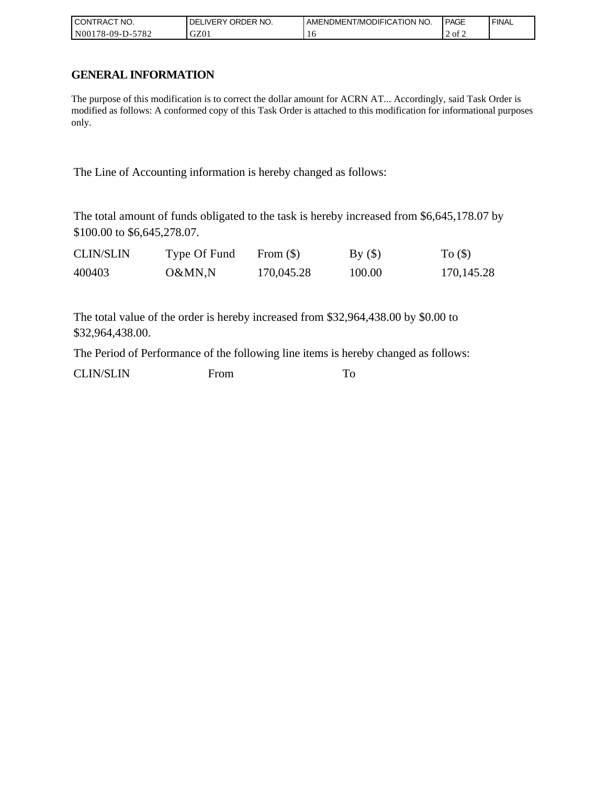| I CONTRACT NO.        | ORDER<br>: NO.<br><b>IVERY</b><br>DELI | AMENDMENT/MODIFICATION NO. | <b>PAGE</b> | ' FINAL |
|-----------------------|----------------------------------------|----------------------------|-------------|---------|
| N00178-09-D-5<br>5782 | GZ01                                   | . U                        | 2 of 2      |         |

### **GENERAL INFORMATION**

The purpose of this modification is to correct the dollar amount for ACRN AT... Accordingly, said Task Order is modified as follows: A conformed copy of this Task Order is attached to this modification for informational purposes only.

The Line of Accounting information is hereby changed as follows:

The total amount of funds obligated to the task is hereby increased from \$6,645,178.07 by \$100.00 to \$6,645,278.07.

| <b>CLIN/SLIN</b> | Type Of Fund | From $(\$)$ | By()   | To $($ )    |
|------------------|--------------|-------------|--------|-------------|
| 400403           | O&MN,N       | 170,045.28  | 100.00 | 170, 145.28 |

The total value of the order is hereby increased from \$32,964,438.00 by \$0.00 to \$32,964,438.00.

The Period of Performance of the following line items is hereby changed as follows:

CLIN/SLIN From To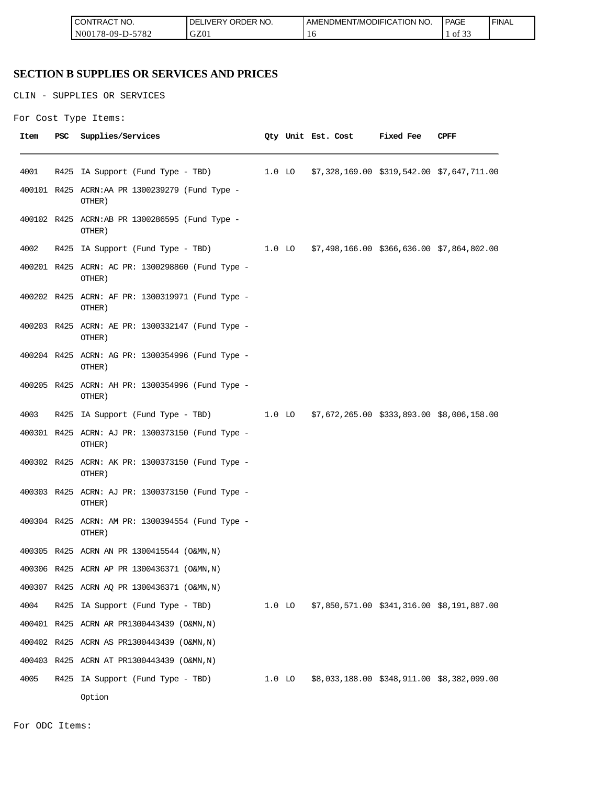| <b>ITRACT NO.</b><br>LCON <sup>-</sup>                  | ORDER NO.<br><b>IVERY</b><br>DF | ODIFICATION NO.<br>AMEND<br>∋MEN<br>'/MC | PAGE      | <b>FINAL</b> |
|---------------------------------------------------------|---------------------------------|------------------------------------------|-----------|--------------|
| 5707<br>N00<br>$.8 - 09 - \Gamma$<br>--<br>$'$ 0 $\sim$ | GZ0                             | 1 U                                      | ОI<br>. ب |              |

# **SECTION B SUPPLIES OR SERVICES AND PRICES**

```
For Cost Type Items:
```

|      |     | CONTRACT NO.<br>N00178-09-D-5782                           | DELIVERY ORDER NO.<br>GZ01 |          | AMENDMENT/MODIFICATION NO.<br>16              |           | <b>PAGE</b><br><b>FIN</b><br>1 of 33 |
|------|-----|------------------------------------------------------------|----------------------------|----------|-----------------------------------------------|-----------|--------------------------------------|
|      |     | <b>SECTION B SUPPLIES OR SERVICES AND PRICES</b>           |                            |          |                                               |           |                                      |
|      |     | CLIN - SUPPLIES OR SERVICES                                |                            |          |                                               |           |                                      |
|      |     | For Cost Type Items:                                       |                            |          |                                               |           |                                      |
| Item | PSC | Supplies/Services                                          |                            |          | Qty Unit Est. Cost                            | Fixed Fee | <b>CPFF</b>                          |
| 4001 |     | R425 IA Support (Fund Type - TBD)                          |                            | $1.0$ lo | $$7,328,169.00$ $$319,542.00$ $$7,647,711.00$ |           |                                      |
|      |     | 400101 R425 ACRN:AA PR 1300239279 (Fund Type -<br>OTHER)   |                            |          |                                               |           |                                      |
|      |     | 400102 R425 ACRN:AB PR 1300286595 (Fund Type -<br>OTHER)   |                            |          |                                               |           |                                      |
| 4002 |     | R425 IA Support (Fund Type - TBD)                          |                            | $1.0$ lo | $$7,498,166.00$ $$366,636.00$ $$7,864,802.00$ |           |                                      |
|      |     | 400201 R425 ACRN: AC PR: 1300298860 (Fund Type -<br>OTHER) |                            |          |                                               |           |                                      |
|      |     | 400202 R425 ACRN: AF PR: 1300319971 (Fund Type -<br>OTHER) |                            |          |                                               |           |                                      |
|      |     | 400203 R425 ACRN: AE PR: 1300332147 (Fund Type -<br>OTHER) |                            |          |                                               |           |                                      |
|      |     | 400204 R425 ACRN: AG PR: 1300354996 (Fund Type -<br>OTHER) |                            |          |                                               |           |                                      |
|      |     | 400205 R425 ACRN: AH PR: 1300354996 (Fund Type -<br>OTHER) |                            |          |                                               |           |                                      |
| 4003 |     | R425 IA Support (Fund Type - TBD)                          |                            | $1.0$ lo | $$7,672,265.00$ $$333,893.00$ $$8,006,158.00$ |           |                                      |
|      |     | 400301 R425 ACRN: AJ PR: 1300373150 (Fund Type -<br>OTHER) |                            |          |                                               |           |                                      |
|      |     | 400302 R425 ACRN: AK PR: 1300373150 (Fund Type -<br>OTHER) |                            |          |                                               |           |                                      |
|      |     | 400303 R425 ACRN: AJ PR: 1300373150 (Fund Type -<br>OTHER) |                            |          |                                               |           |                                      |
|      |     | 400304 R425 ACRN: AM PR: 1300394554 (Fund Type -<br>OTHER) |                            |          |                                               |           |                                      |
|      |     | 400305 R425 ACRN AN PR 1300415544 (O&MN, N)                |                            |          |                                               |           |                                      |
|      |     | 400306 R425 ACRN AP PR 1300436371 (O&MN, N)                |                            |          |                                               |           |                                      |
|      |     | 400307 R425 ACRN AQ PR 1300436371 (O&MN, N)                |                            |          |                                               |           |                                      |
| 4004 |     | R425 IA Support (Fund Type - TBD)                          |                            | $1.0$ lo | $$7,850,571.00$ $$341,316.00$ $$8,191,887.00$ |           |                                      |
|      |     | 400401 R425 ACRN AR PR1300443439 (O&MN, N)                 |                            |          |                                               |           |                                      |
|      |     | 400402 R425 ACRN AS PR1300443439 (O&MN, N)                 |                            |          |                                               |           |                                      |
|      |     | 400403 R425 ACRN AT PR1300443439 (O&MN, N)                 |                            |          |                                               |           |                                      |
| 4005 |     | R425 IA Support (Fund Type - TBD)                          |                            | $1.0$ lo | $$8,033,188.00$ $$348,911.00$ $$8,382,099.00$ |           |                                      |
|      |     | Option                                                     |                            |          |                                               |           |                                      |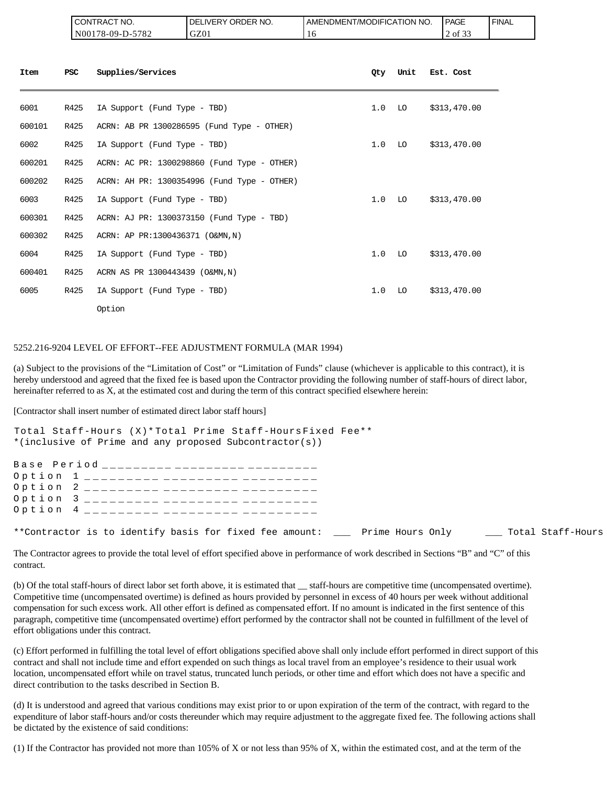| CT NO.<br><b>CONTRACT</b>                                          | ORDER NO.<br>DE<br><b>NERY</b> | 'NO.<br>AMENDMENT/MODIFICATION | <b>PAGE</b>    | ' FINAL |
|--------------------------------------------------------------------|--------------------------------|--------------------------------|----------------|---------|
| 5700<br>N00178-09-I<br>$\overline{\phantom{a}}$<br>ے ہ<br>$-$<br>◡ | $\sim$<br>UZUI                 | 1 U                            | $\sim$<br>2 of |         |

| Item   | <b>PSC</b> | Supplies/Services                           | 0ty | Unit | Est. Cost    |
|--------|------------|---------------------------------------------|-----|------|--------------|
| 6001   | R425       | IA Support (Fund Type - TBD)                | 1.0 | LO   | \$313,470.00 |
| 600101 | R425       | ACRN: AB PR 1300286595 (Fund Type - OTHER)  |     |      |              |
| 6002   | R425       | IA Support (Fund Type - TBD)                | 1.0 | LO.  | \$313,470.00 |
| 600201 | R425       | ACRN: AC PR: 1300298860 (Fund Type - OTHER) |     |      |              |
| 600202 | R425       | ACRN: AH PR: 1300354996 (Fund Type - OTHER) |     |      |              |
| 6003   | R425       | IA Support (Fund Type - TBD)                | 1.0 | LO   | \$313,470.00 |
| 600301 | R425       | ACRN: AJ PR: 1300373150 (Fund Type - TBD)   |     |      |              |
| 600302 | R425       | ACRN: AP PR:1300436371 (O&MN, N)            |     |      |              |
| 6004   | R425       | IA Support (Fund Type - TBD)                | 1.0 | LO   | \$313,470.00 |
| 600401 | R425       | ACRN AS PR 1300443439 (O&MN, N)             |     |      |              |
| 6005   | R425       | IA Support (Fund Type - TBD)                | 1.0 | LO.  | \$313,470.00 |
|        |            | Option                                      |     |      |              |

#### 5252.216-9204 LEVEL OF EFFORT--FEE ADJUSTMENT FORMULA (MAR 1994)

(a) Subject to the provisions of the "Limitation of Cost" or "Limitation of Funds" clause (whichever is applicable to this contract), it is hereby understood and agreed that the fixed fee is based upon the Contractor providing the following number of staff-hours of direct labor, hereinafter referred to as X, at the estimated cost and during the term of this contract specified elsewhere herein:

[Contractor shall insert number of estimated direct labor staff hours]

Total Staff-Hours (X)\* Total Prime Staff-Hours Fixed Fee\*\* \*(inclusive of Prime and any proposed Subcontractor(s)) Base Period \_\_\_\_\_\_\_\_\_ \_\_\_\_\_\_\_\_\_ \_\_\_\_\_\_\_\_\_ Option 1 \_\_\_\_\_\_\_\_\_ \_\_\_\_\_\_\_\_\_ \_\_\_\_\_\_\_ Option 2 \_\_\_\_\_\_\_\_\_ \_\_\_\_\_\_\_\_\_ \_\_\_\_\_\_\_ Option 3  $\frac{1}{2}$   $\frac{1}{2}$   $\frac{1}{2}$   $\frac{1}{2}$   $\frac{1}{2}$   $\frac{1}{2}$   $\frac{1}{2}$   $\frac{1}{2}$   $\frac{1}{2}$   $\frac{1}{2}$   $\frac{1}{2}$   $\frac{1}{2}$   $\frac{1}{2}$   $\frac{1}{2}$   $\frac{1}{2}$   $\frac{1}{2}$   $\frac{1}{2}$   $\frac{1}{2}$   $\frac{1}{2}$   $\frac{1}{2}$   $\frac{1}{2}$   $\$ Option 4  $_{------}$ \*\*Contractor is to identify basis for fixed fee amount: \_\_\_ Prime Hours Only \_\_\_\_ Total Staff-Hours

The Contractor agrees to provide the total level of effort specified above in performance of work described in Sections "B" and "C" of this contract.

(b) Of the total staff-hours of direct labor set forth above, it is estimated that \_\_ staff-hours are competitive time (uncompensated overtime). Competitive time (uncompensated overtime) is defined as hours provided by personnel in excess of 40 hours per week without additional compensation for such excess work. All other effort is defined as compensated effort. If no amount is indicated in the first sentence of this paragraph, competitive time (uncompensated overtime) effort performed by the contractor shall not be counted in fulfillment of the level of effort obligations under this contract.

(c) Effort performed in fulfilling the total level of effort obligations specified above shall only include effort performed in direct support of this contract and shall not include time and effort expended on such things as local travel from an employee's residence to their usual work location, uncompensated effort while on travel status, truncated lunch periods, or other time and effort which does not have a specific and direct contribution to the tasks described in Section B.

(d) It is understood and agreed that various conditions may exist prior to or upon expiration of the term of the contract, with regard to the expenditure of labor staff-hours and/or costs thereunder which may require adjustment to the aggregate fixed fee. The following actions shall be dictated by the existence of said conditions:

(1) If the Contractor has provided not more than 105% of X or not less than 95% of X, within the estimated cost, and at the term of the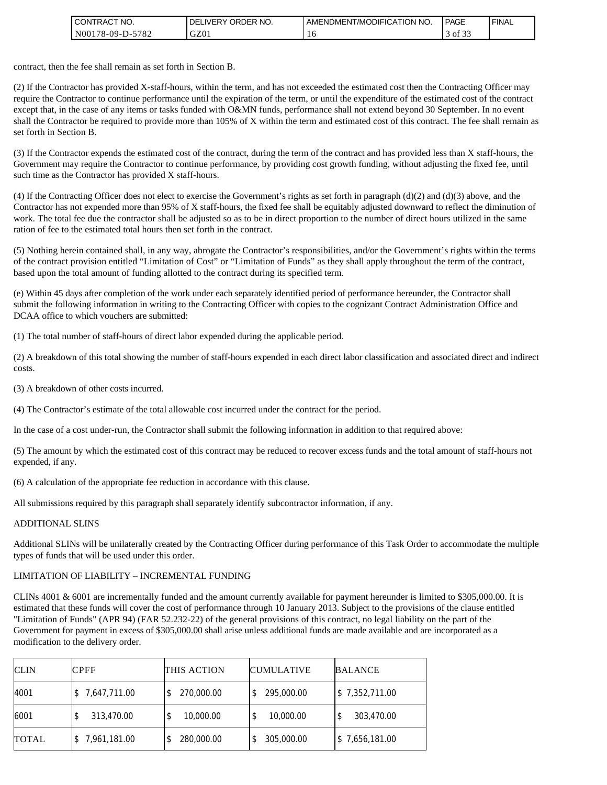| I CONTRACT NO.   | ' ORDER NO.<br><b>DELIVERY</b> | <b>I AMENDMENT/MODIFICATION NO.</b> | <b>PAGE</b> | ' FINAL |
|------------------|--------------------------------|-------------------------------------|-------------|---------|
| N00178-09-D-5782 | GZ01                           | .,                                  | 0.25<br>ΟĪ  |         |

contract, then the fee shall remain as set forth in Section B.

(2) If the Contractor has provided X-staff-hours, within the term, and has not exceeded the estimated cost then the Contracting Officer may require the Contractor to continue performance until the expiration of the term, or until the expenditure of the estimated cost of the contract except that, in the case of any items or tasks funded with O&MN funds, performance shall not extend beyond 30 September. In no event shall the Contractor be required to provide more than 105% of X within the term and estimated cost of this contract. The fee shall remain as set forth in Section B.

(3) If the Contractor expends the estimated cost of the contract, during the term of the contract and has provided less than X staff-hours, the Government may require the Contractor to continue performance, by providing cost growth funding, without adjusting the fixed fee, until such time as the Contractor has provided X staff-hours.

(4) If the Contracting Officer does not elect to exercise the Government's rights as set forth in paragraph  $(d)(2)$  and  $(d)(3)$  above, and the Contractor has not expended more than 95% of X staff-hours, the fixed fee shall be equitably adjusted downward to reflect the diminution of work. The total fee due the contractor shall be adjusted so as to be in direct proportion to the number of direct hours utilized in the same ration of fee to the estimated total hours then set forth in the contract.

(5) Nothing herein contained shall, in any way, abrogate the Contractor's responsibilities, and/or the Government's rights within the terms of the contract provision entitled "Limitation of Cost" or "Limitation of Funds" as they shall apply throughout the term of the contract, based upon the total amount of funding allotted to the contract during its specified term.

(e) Within 45 days after completion of the work under each separately identified period of performance hereunder, the Contractor shall submit the following information in writing to the Contracting Officer with copies to the cognizant Contract Administration Office and DCAA office to which vouchers are submitted:

(1) The total number of staff-hours of direct labor expended during the applicable period.

(2) A breakdown of this total showing the number of staff-hours expended in each direct labor classification and associated direct and indirect costs.

(3) A breakdown of other costs incurred.

(4) The Contractor's estimate of the total allowable cost incurred under the contract for the period.

In the case of a cost under-run, the Contractor shall submit the following information in addition to that required above:

(5) The amount by which the estimated cost of this contract may be reduced to recover excess funds and the total amount of staff-hours not expended, if any.

(6) A calculation of the appropriate fee reduction in accordance with this clause.

All submissions required by this paragraph shall separately identify subcontractor information, if any.

#### ADDITIONAL SLINS

Additional SLINs will be unilaterally created by the Contracting Officer during performance of this Task Order to accommodate the multiple types of funds that will be used under this order.

#### LIMITATION OF LIABILITY – INCREMENTAL FUNDING

CLINs 4001 & 6001 are incrementally funded and the amount currently available for payment hereunder is limited to \$305,000.00. It is estimated that these funds will cover the cost of performance through 10 January 2013. Subject to the provisions of the clause entitled "Limitation of Funds" (APR 94) (FAR 52.232-22) of the general provisions of this contract, no legal liability on the part of the Government for payment in excess of \$305,000.00 shall arise unless additional funds are made available and are incorporated as a modification to the delivery order.

| <b>CLIN</b>  | <b>CPFF</b>  | THIS ACTION    | <b>CUMULATIVE</b> | <b>BALANCE</b> |
|--------------|--------------|----------------|-------------------|----------------|
| 4001         | 7,647,711.00 | 270,000.00     | 295,000.00        | \$7,352,711.00 |
| 6001         | 313,470.00   | 10,000.00<br>Φ | 10,000.00         | 303,470.00     |
| <b>TOTAL</b> | 7,961,181.00 | 280,000.00     | 305,000.00        | \$7,656,181.00 |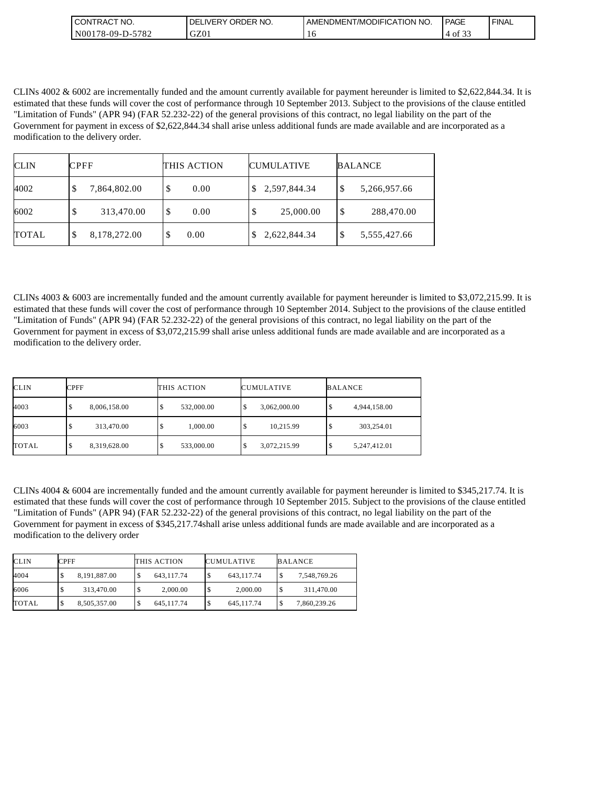| <b>CONTRACT NO.</b> | ' ORDER NO.<br><b>DELIVERY</b> | <b>JAMENDMENT/MODIFICATION NO.</b> | <b>PAGE</b>         | ' FINAL |
|---------------------|--------------------------------|------------------------------------|---------------------|---------|
| N00178-09-D-5782    | GZ01                           |                                    | 0.22<br>$4$ of $3.$ |         |

CLINs 4002 & 6002 are incrementally funded and the amount currently available for payment hereunder is limited to \$2,622,844.34. It is estimated that these funds will cover the cost of performance through 10 September 2013. Subject to the provisions of the clause entitled "Limitation of Funds" (APR 94) (FAR 52.232-22) of the general provisions of this contract, no legal liability on the part of the Government for payment in excess of \$2,622,844.34 shall arise unless additional funds are made available and are incorporated as a modification to the delivery order.

| <b>CLIN</b>  | <b>CPFF</b>       | THIS ACTION | <b>CUMULATIVE</b> | <b>BALANCE</b>     |  |
|--------------|-------------------|-------------|-------------------|--------------------|--|
| 4002         | 7,864,802.00<br>D | 0.00<br>S   | 2,597,844.34      | 5,266,957.66<br>\$ |  |
| 6002         | 313,470.00<br>J   | S<br>0.00   | 25,000.00         | 288,470.00<br>\$   |  |
| <b>TOTAL</b> | 8,178,272.00<br>Φ | 0.00        | 2,622,844.34      | 5,555,427.66<br>S  |  |

CLINs 4003 & 6003 are incrementally funded and the amount currently available for payment hereunder is limited to \$3,072,215.99. It is estimated that these funds will cover the cost of performance through 10 September 2014. Subject to the provisions of the clause entitled "Limitation of Funds" (APR 94) (FAR 52.232-22) of the general provisions of this contract, no legal liability on the part of the Government for payment in excess of \$3,072,215.99 shall arise unless additional funds are made available and are incorporated as a modification to the delivery order.

| <b>CLIN</b>  | <b>CPFF</b>       | THIS ACTION | <b>CUMULATIVE</b> | BALANCE           |
|--------------|-------------------|-------------|-------------------|-------------------|
| 4003         | 8,006,158.00<br>Φ | 532,000.00  | 3,062,000.00<br>ω | 4,944,158.00      |
| 6003         | 313,470.00<br>Ф   | 1.000.00    | 10,215.99         | 303,254.01        |
| <b>TOTAL</b> | 8,319,628.00<br>Φ | 533,000.00  | 3,072,215.99<br>Œ | 5,247,412.01<br>э |

CLINs 4004 & 6004 are incrementally funded and the amount currently available for payment hereunder is limited to \$345,217.74. It is estimated that these funds will cover the cost of performance through 10 September 2015. Subject to the provisions of the clause entitled "Limitation of Funds" (APR 94) (FAR 52.232-22) of the general provisions of this contract, no legal liability on the part of the Government for payment in excess of \$345,217.74shall arise unless additional funds are made available and are incorporated as a modification to the delivery order

| <b>CLIN</b> | CPFF               | THIS ACTION | <b>CUMULATIVE</b> | <b>BALANCE</b> |
|-------------|--------------------|-------------|-------------------|----------------|
| 4004        | 8,191,887.00<br>ω  | 643.117.74  | l S<br>643.117.74 | 7.548.769.26   |
| 6006        | 313,470.00         | 2.000.00    | 2.000.00          | 311,470.00     |
| TOTAL       | 8,505,357.00<br>۰υ | 645.117.74  | 645.117.74<br>S   | 7,860,239.26   |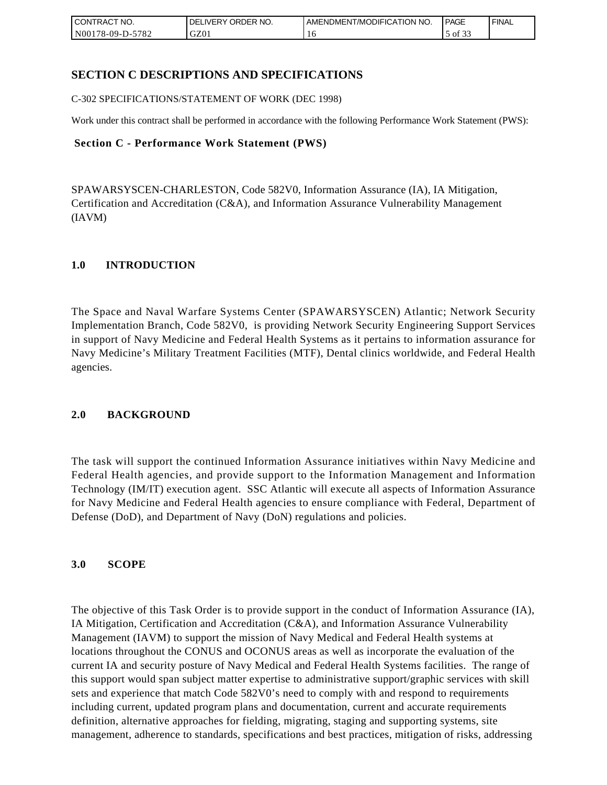| <b>CONTRACT NO.</b>    | NO.<br>' ORDER<br><b>DELIVERY</b> | AMENDMENT/MODIFICATION NO. | <b>PAGE</b>            | ' FINAL |
|------------------------|-----------------------------------|----------------------------|------------------------|---------|
| N00178-09-D-5<br>-5782 | GZ01                              | 1 U                        | $\sim$ $\sim$<br>of 33 |         |

## **SECTION C DESCRIPTIONS AND SPECIFICATIONS**

C-302 SPECIFICATIONS/STATEMENT OF WORK (DEC 1998)

Work under this contract shall be performed in accordance with the following Performance Work Statement (PWS):

### **Section C - Performance Work Statement (PWS)**

SPAWARSYSCEN-CHARLESTON, Code 582V0, Information Assurance (IA), IA Mitigation, Certification and Accreditation (C&A), and Information Assurance Vulnerability Management (IAVM)

### **1.0 INTRODUCTION**

The Space and Naval Warfare Systems Center (SPAWARSYSCEN) Atlantic; Network Security Implementation Branch, Code 582V0, is providing Network Security Engineering Support Services in support of Navy Medicine and Federal Health Systems as it pertains to information assurance for Navy Medicine's Military Treatment Facilities (MTF), Dental clinics worldwide, and Federal Health agencies.

### **2.0 BACKGROUND**

The task will support the continued Information Assurance initiatives within Navy Medicine and Federal Health agencies, and provide support to the Information Management and Information Technology (IM/IT) execution agent. SSC Atlantic will execute all aspects of Information Assurance for Navy Medicine and Federal Health agencies to ensure compliance with Federal, Department of Defense (DoD), and Department of Navy (DoN) regulations and policies.

### **3.0 SCOPE**

The objective of this Task Order is to provide support in the conduct of Information Assurance (IA), IA Mitigation, Certification and Accreditation (C&A), and Information Assurance Vulnerability Management (IAVM) to support the mission of Navy Medical and Federal Health systems at locations throughout the CONUS and OCONUS areas as well as incorporate the evaluation of the current IA and security posture of Navy Medical and Federal Health Systems facilities. The range of this support would span subject matter expertise to administrative support/graphic services with skill sets and experience that match Code 582V0's need to comply with and respond to requirements including current, updated program plans and documentation, current and accurate requirements definition, alternative approaches for fielding, migrating, staging and supporting systems, site management, adherence to standards, specifications and best practices, mitigation of risks, addressing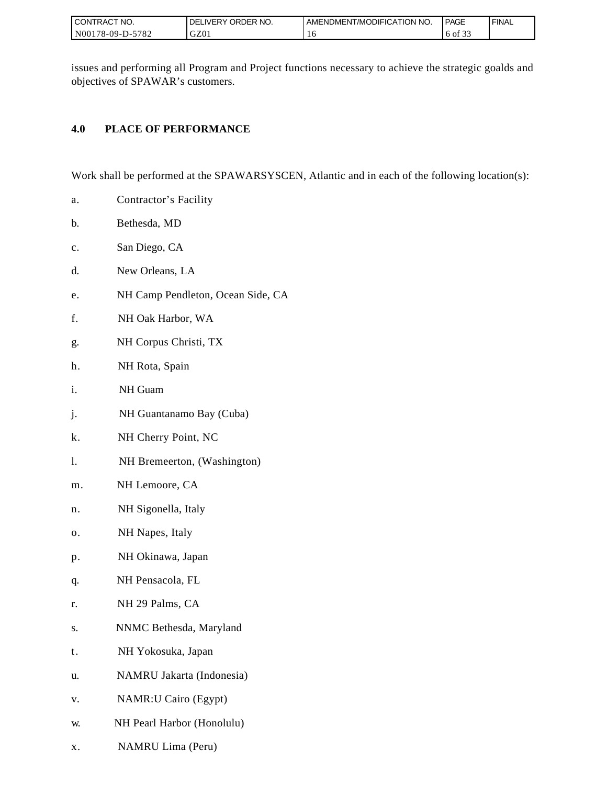| I CONTRACT NO.           | ORDER NO.<br>DELIVERY . | I AMENDMENT/MODIFICATION NO. | PAGE                  | ' FINAL |
|--------------------------|-------------------------|------------------------------|-----------------------|---------|
| N00178-09-D-5<br>$-5782$ | GZ01                    | ۰ ن                          | 0.25<br>ΟĪ<br>$\cdot$ |         |

issues and performing all Program and Project functions necessary to achieve the strategic goalds and objectives of SPAWAR's customers.

## **4.0 PLACE OF PERFORMANCE**

Work shall be performed at the SPAWARSYSCEN, Atlantic and in each of the following location(s):

- a. Contractor's Facility
- b. Bethesda, MD
- c. San Diego, CA
- d. New Orleans, LA
- e. NH Camp Pendleton, Ocean Side, CA
- f. NH Oak Harbor, WA
- g. NH Corpus Christi, TX
- h. NH Rota, Spain
- i. NH Guam
- j. NH Guantanamo Bay (Cuba)
- k. NH Cherry Point, NC
- l. NH Bremeerton, (Washington)
- m. NH Lemoore, CA
- n. NH Sigonella, Italy
- o. NH Napes, Italy
- p. NH Okinawa, Japan
- q. NH Pensacola, FL
- r. NH 29 Palms, CA
- s. NNMC Bethesda, Maryland
- t. NH Yokosuka, Japan
- u. NAMRU Jakarta (Indonesia)
- v. NAMR:U Cairo (Egypt)
- w. NH Pearl Harbor (Honolulu)
- x. NAMRU Lima (Peru)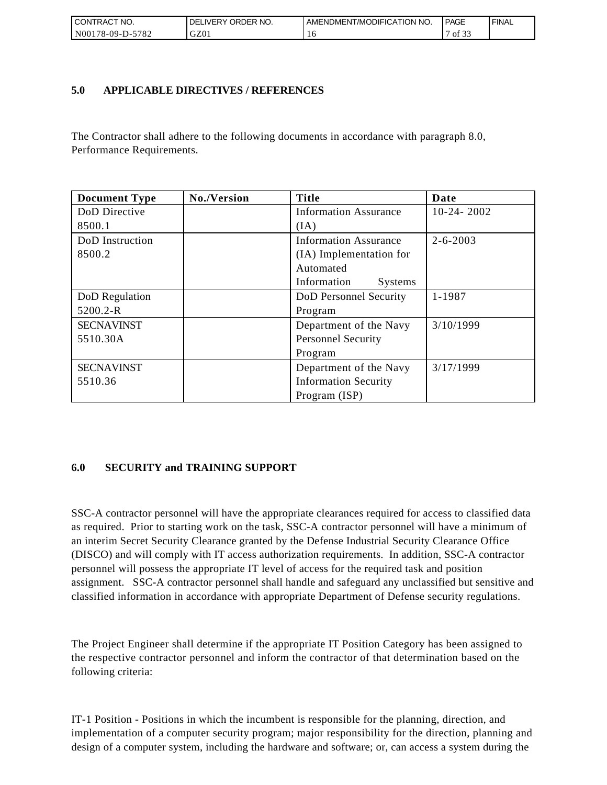| <b>CONTRACT NO.</b>                                   | ' ORDER NO.<br><b>DELIVERY</b> | AMENDMENT/MODIFICATION NO. | <b>PAGE</b>                | ' FINAL |
|-------------------------------------------------------|--------------------------------|----------------------------|----------------------------|---------|
| N <sub>00</sub><br>5782<br>$^{\circ}178 - 09 - D - 5$ | GZ01                           | 1 U                        | $\sim$ $\sim$<br>$'$ of 3. |         |

### **5.0 APPLICABLE DIRECTIVES / REFERENCES**

The Contractor shall adhere to the following documents in accordance with paragraph 8.0, Performance Requirements.

| <b>Document Type</b> | No./Version | <b>Title</b>                  | Date           |
|----------------------|-------------|-------------------------------|----------------|
| DoD Directive        |             | <b>Information Assurance</b>  | $10-24-2002$   |
| 8500.1               |             | (IA)                          |                |
| DoD Instruction      |             | <b>Information Assurance</b>  | $2 - 6 - 2003$ |
| 8500.2               |             | (IA) Implementation for       |                |
|                      |             | Automated                     |                |
|                      |             | Information<br><b>Systems</b> |                |
| DoD Regulation       |             | DoD Personnel Security        | 1-1987         |
| 5200.2-R             |             | Program                       |                |
| <b>SECNAVINST</b>    |             | Department of the Navy        | 3/10/1999      |
| 5510.30A             |             | <b>Personnel Security</b>     |                |
|                      |             | Program                       |                |
| <b>SECNAVINST</b>    |             | Department of the Navy        | 3/17/1999      |
| 5510.36              |             | <b>Information Security</b>   |                |
|                      |             | Program (ISP)                 |                |

## **6.0 SECURITY and TRAINING SUPPORT**

SSC-A contractor personnel will have the appropriate clearances required for access to classified data as required. Prior to starting work on the task, SSC-A contractor personnel will have a minimum of an interim Secret Security Clearance granted by the Defense Industrial Security Clearance Office (DISCO) and will comply with IT access authorization requirements. In addition, SSC-A contractor personnel will possess the appropriate IT level of access for the required task and position assignment. SSC-A contractor personnel shall handle and safeguard any unclassified but sensitive and classified information in accordance with appropriate Department of Defense security regulations.

The Project Engineer shall determine if the appropriate IT Position Category has been assigned to the respective contractor personnel and inform the contractor of that determination based on the following criteria:

IT-1 Position - Positions in which the incumbent is responsible for the planning, direction, and implementation of a computer security program; major responsibility for the direction, planning and design of a computer system, including the hardware and software; or, can access a system during the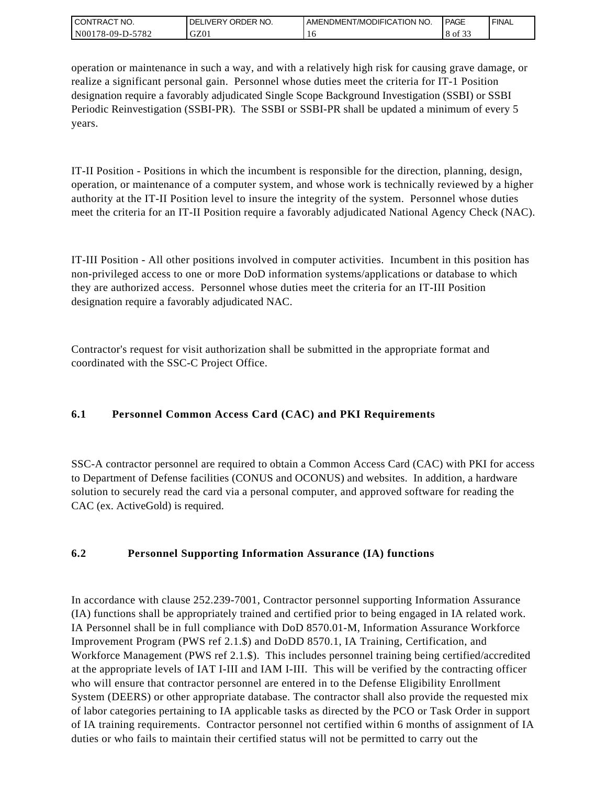| I CONTRACT NO.   | ' ORDER NO.<br><b>DELIVERY</b> | AMENDMENT/MODIFICATION NO. | PAGE                                             | ' FINAL |
|------------------|--------------------------------|----------------------------|--------------------------------------------------|---------|
| N00178-09-D-5782 | GZ0 <sub>1</sub>               |                            | $c \wedge c$<br>$\overline{8}$ of $\overline{5}$ |         |

operation or maintenance in such a way, and with a relatively high risk for causing grave damage, or realize a significant personal gain. Personnel whose duties meet the criteria for IT-1 Position designation require a favorably adjudicated Single Scope Background Investigation (SSBI) or SSBI Periodic Reinvestigation (SSBI-PR). The SSBI or SSBI-PR shall be updated a minimum of every 5 years.

IT-II Position - Positions in which the incumbent is responsible for the direction, planning, design, operation, or maintenance of a computer system, and whose work is technically reviewed by a higher authority at the IT-II Position level to insure the integrity of the system. Personnel whose duties meet the criteria for an IT-II Position require a favorably adjudicated National Agency Check (NAC).

IT-III Position - All other positions involved in computer activities. Incumbent in this position has non-privileged access to one or more DoD information systems/applications or database to which they are authorized access. Personnel whose duties meet the criteria for an IT-III Position designation require a favorably adjudicated NAC.

Contractor's request for visit authorization shall be submitted in the appropriate format and coordinated with the SSC-C Project Office.

# **6.1 Personnel Common Access Card (CAC) and PKI Requirements**

SSC-A contractor personnel are required to obtain a Common Access Card (CAC) with PKI for access to Department of Defense facilities (CONUS and OCONUS) and websites. In addition, a hardware solution to securely read the card via a personal computer, and approved software for reading the CAC (ex. ActiveGold) is required.

## **6.2 Personnel Supporting Information Assurance (IA) functions**

In accordance with clause 252.239-7001, Contractor personnel supporting Information Assurance (IA) functions shall be appropriately trained and certified prior to being engaged in IA related work. IA Personnel shall be in full compliance with DoD 8570.01-M, Information Assurance Workforce Improvement Program (PWS ref 2.1.\$) and DoDD 8570.1, IA Training, Certification, and Workforce Management (PWS ref 2.1.\$). This includes personnel training being certified/accredited at the appropriate levels of IAT I-III and IAM I-III. This will be verified by the contracting officer who will ensure that contractor personnel are entered in to the Defense Eligibility Enrollment System (DEERS) or other appropriate database. The contractor shall also provide the requested mix of labor categories pertaining to IA applicable tasks as directed by the PCO or Task Order in support of IA training requirements. Contractor personnel not certified within 6 months of assignment of IA duties or who fails to maintain their certified status will not be permitted to carry out the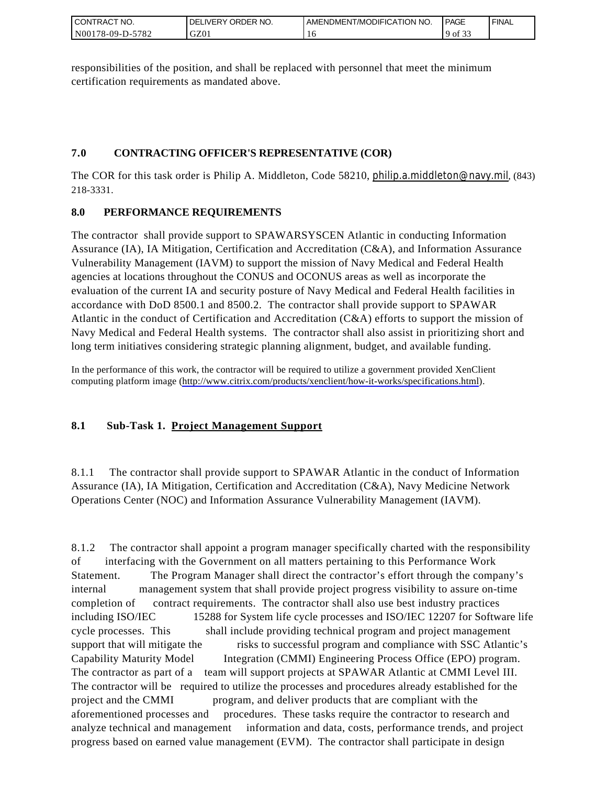| I CONTRACT NO.         | ORDER<br>NO.<br><b>DELIVERY</b> | AMENDMENT/MODIFICATION NO. | <b>PAGE</b>          | ' FINAL |
|------------------------|---------------------------------|----------------------------|----------------------|---------|
| N00178-09-D-5<br>-5782 | GZ01                            | . U                        | 0.25<br>$9$ of $5 -$ |         |

responsibilities of the position, and shall be replaced with personnel that meet the minimum certification requirements as mandated above.

## **7.0 CONTRACTING OFFICER'S REPRESENTATIVE (COR)**

The COR for this task order is Philip A. Middleton, Code 58210, [philip.a.middleton@navy.mil](mailto:cphilip.a.middleton@navy.mil), (843) 218-3331.

## **8.0 PERFORMANCE REQUIREMENTS**

The contractor shall provide support to SPAWARSYSCEN Atlantic in conducting Information Assurance (IA), IA Mitigation, Certification and Accreditation (C&A), and Information Assurance Vulnerability Management (IAVM) to support the mission of Navy Medical and Federal Health agencies at locations throughout the CONUS and OCONUS areas as well as incorporate the evaluation of the current IA and security posture of Navy Medical and Federal Health facilities in accordance with DoD 8500.1 and 8500.2. The contractor shall provide support to SPAWAR Atlantic in the conduct of Certification and Accreditation (C&A) efforts to support the mission of Navy Medical and Federal Health systems. The contractor shall also assist in prioritizing short and long term initiatives considering strategic planning alignment, budget, and available funding.

In the performance of this work, the contractor will be required to utilize a government provided XenClient computing platform image [\(http://www.citrix.com/products/xenclient/how-it-works/specifications.html\)](http://www.citrix.com/products/xenclient/how-it-works/specifications.html).

## **8.1 Sub-Task 1. Project Management Support**

8.1.1 The contractor shall provide support to SPAWAR Atlantic in the conduct of Information Assurance (IA), IA Mitigation, Certification and Accreditation (C&A), Navy Medicine Network Operations Center (NOC) and Information Assurance Vulnerability Management (IAVM).

8.1.2 The contractor shall appoint a program manager specifically charted with the responsibility of interfacing with the Government on all matters pertaining to this Performance Work Statement. The Program Manager shall direct the contractor's effort through the company's internal management system that shall provide project progress visibility to assure on-time completion of contract requirements. The contractor shall also use best industry practices including ISO/IEC 15288 for System life cycle processes and ISO/IEC 12207 for Software life cycle processes. This shall include providing technical program and project management support that will mitigate the risks to successful program and compliance with SSC Atlantic's Capability Maturity Model Integration (CMMI) Engineering Process Office (EPO) program. The contractor as part of a team will support projects at SPAWAR Atlantic at CMMI Level III. The contractor will be required to utilize the processes and procedures already established for the project and the CMMI program, and deliver products that are compliant with the aforementioned processes and procedures. These tasks require the contractor to research and analyze technical and management information and data, costs, performance trends, and project progress based on earned value management (EVM). The contractor shall participate in design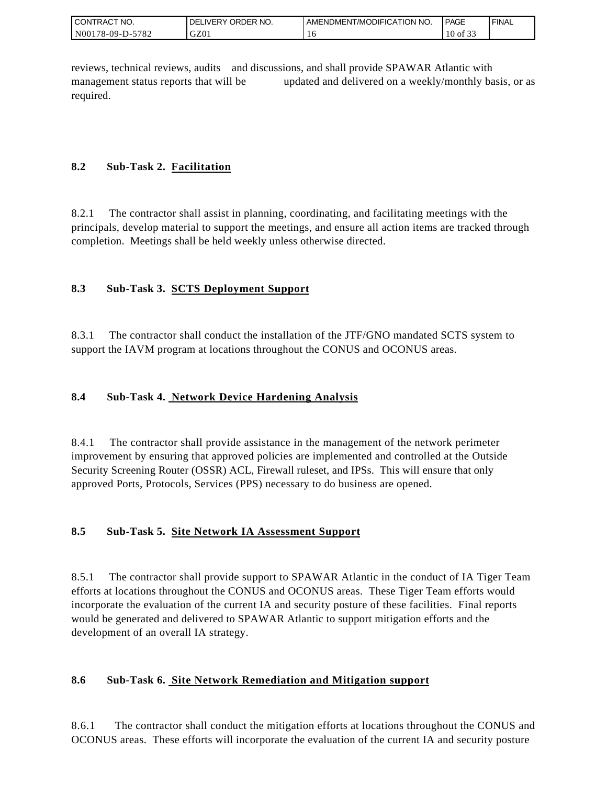| I CONTRACT NO.   | ' ORDER NO.<br><b>DELIVERY</b> | <b>LAMENDMENT/MODIFICATION NO.</b> | <b>PAGE</b>                                  | ' FINAL |
|------------------|--------------------------------|------------------------------------|----------------------------------------------|---------|
| N00178-09-D-5782 | GZ0                            | n                                  | $\sim$ $\sim$ $\sim$<br>10<br>$100t_{\odot}$ |         |

reviews, technical reviews, audits and discussions, and shall provide SPAWAR Atlantic with management status reports that will be updated and delivered on a weekly/monthly basis, or as required.

# **8.2 Sub-Task 2. Facilitation**

8.2.1 The contractor shall assist in planning, coordinating, and facilitating meetings with the principals, develop material to support the meetings, and ensure all action items are tracked through completion. Meetings shall be held weekly unless otherwise directed.

# **8.3 Sub-Task 3. SCTS Deployment Support**

8.3.1 The contractor shall conduct the installation of the JTF/GNO mandated SCTS system to support the IAVM program at locations throughout the CONUS and OCONUS areas.

## **8.4 Sub-Task 4. Network Device Hardening Analysis**

8.4.1 The contractor shall provide assistance in the management of the network perimeter improvement by ensuring that approved policies are implemented and controlled at the Outside Security Screening Router (OSSR) ACL, Firewall ruleset, and IPSs. This will ensure that only approved Ports, Protocols, Services (PPS) necessary to do business are opened.

## **8.5 Sub-Task 5. Site Network IA Assessment Support**

8.5.1 The contractor shall provide support to SPAWAR Atlantic in the conduct of IA Tiger Team efforts at locations throughout the CONUS and OCONUS areas. These Tiger Team efforts would incorporate the evaluation of the current IA and security posture of these facilities. Final reports would be generated and delivered to SPAWAR Atlantic to support mitigation efforts and the development of an overall IA strategy.

## **8.6 Sub-Task 6. Site Network Remediation and Mitigation support**

8.6.1 The contractor shall conduct the mitigation efforts at locations throughout the CONUS and OCONUS areas. These efforts will incorporate the evaluation of the current IA and security posture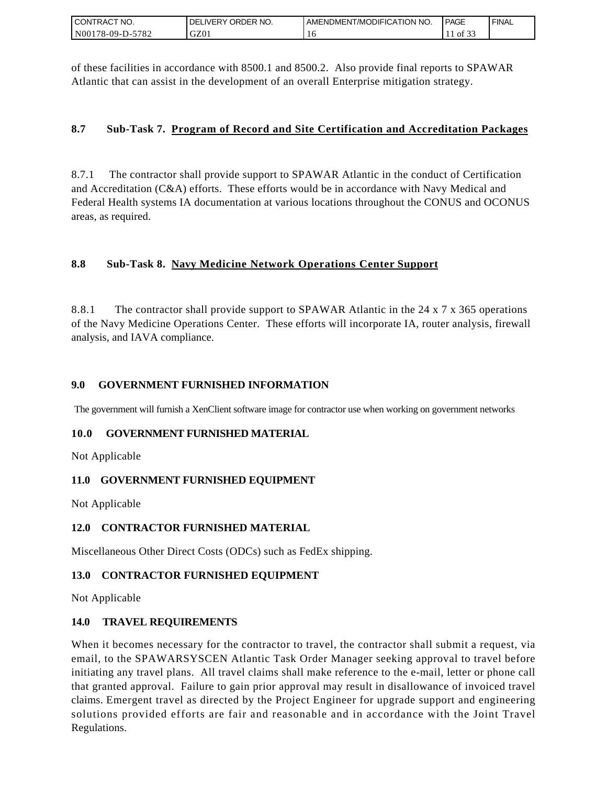| I CONTRACT NO.   | ' NO.<br>DELIVERY ORDER | AMENDMENT/MODIFICATION NO. | <b>I PAGE</b> | ' FINAL |
|------------------|-------------------------|----------------------------|---------------|---------|
| N00178-09-D-5782 | GZ01                    | 1 O                        | ΟĪ<br>ـ ب     |         |

of these facilities in accordance with 8500.1 and 8500.2. Also provide final reports to SPAWAR Atlantic that can assist in the development of an overall Enterprise mitigation strategy.

### **8.7 Sub-Task 7. Program of Record and Site Certification and Accreditation Packages**

8.7.1 The contractor shall provide support to SPAWAR Atlantic in the conduct of Certification and Accreditation (C&A) efforts. These efforts would be in accordance with Navy Medical and Federal Health systems IA documentation at various locations throughout the CONUS and OCONUS areas, as required.

## **8.8 Sub-Task 8. Navy Medicine Network Operations Center Support**

8.8.1 The contractor shall provide support to SPAWAR Atlantic in the 24 x 7 x 365 operations of the Navy Medicine Operations Center. These efforts will incorporate IA, router analysis, firewall analysis, and IAVA compliance.

### **9.0 GOVERNMENT FURNISHED INFORMATION**

The government will furnish a XenClient software image for contractor use when working on government networks

### **10.0 GOVERNMENT FURNISHED MATERIAL**

Not Applicable

### **11.0 GOVERNMENT FURNISHED EQUIPMENT**

Not Applicable

### **12.0 CONTRACTOR FURNISHED MATERIAL**

Miscellaneous Other Direct Costs (ODCs) such as FedEx shipping.

### **13.0 CONTRACTOR FURNISHED EQUIPMENT**

Not Applicable

### **14.0 TRAVEL REQUIREMENTS**

CONTRACT NO.<br>
NO0178-09-D-5<br>
SONTRACT NO.<br>
NO0178-09-D-5<br>
Of these facilit<br>
Atlantic that of<br>
8.7. Sub-T<br>
8.7. Sub-T<br>
8.8. Sub-T<br>
8.8. Sub-T<br>
8.8. Sub-T<br>
8.8. Sub-T<br>
8.8. Sub-T<br>
9.0 GOVEF<br>
The governmen<br>
10.0 GOVEF<br>
Not Ap When it becomes necessary for the contractor to travel, the contractor shall submit a request, via email, to the SPAWARSYSCEN Atlantic Task Order Manager seeking approval to travel before initiating any travel plans. All travel claims shall make reference to the e-mail, letter or phone call that granted approval. Failure to gain prior approval may result in disallowance of invoiced travel claims. Emergent travel as directed by the Project Engineer for upgrade support and engineering solutions provided efforts are fair and reasonable and in accordance with the Joint Travel Regulations.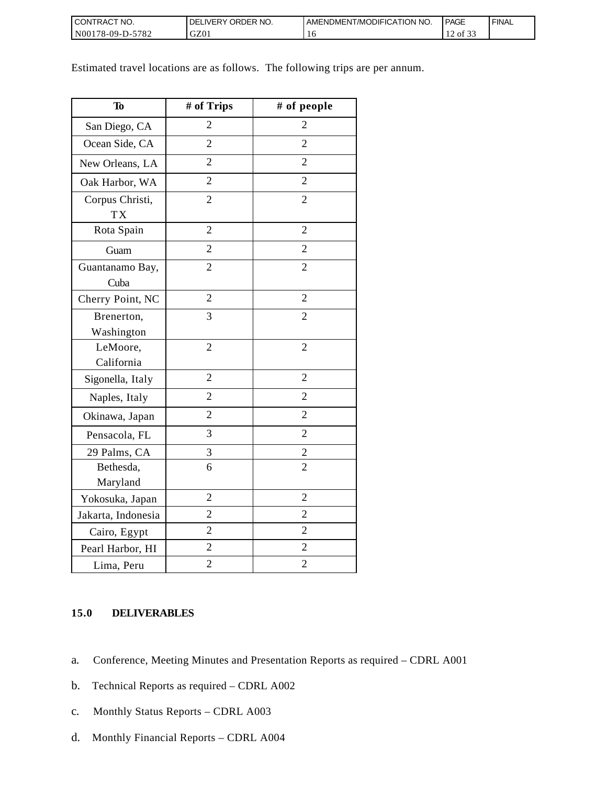| I CONTRACT NO.           | `NO.<br><b>DELIVERY ORDER</b> | AMENDMENT/MODIFICATION NO. | <b>PAGE</b>                        | ' FINAL |
|--------------------------|-------------------------------|----------------------------|------------------------------------|---------|
| $N00178-09-D-5$<br>-5782 | GZ01                          | 1 U                        | $\sim$ $\sim$ $\sim$<br>of 33<br>. |         |

Estimated travel locations are as follows. The following trips are per annum.

| To                           | # of Trips     | # of people    |
|------------------------------|----------------|----------------|
| San Diego, CA                | $\overline{2}$ | 2              |
| Ocean Side, CA               | $\overline{2}$ | $\overline{2}$ |
| New Orleans, LA              | $\overline{2}$ | $\overline{2}$ |
| Oak Harbor, WA               | $\overline{2}$ | $\overline{2}$ |
| Corpus Christi,<br><b>TX</b> | $\overline{2}$ | $\overline{2}$ |
| Rota Spain                   | $\overline{2}$ | $\overline{2}$ |
| Guam                         | $\overline{2}$ | $\overline{2}$ |
| Guantanamo Bay,<br>Cuba      | $\overline{2}$ | $\overline{2}$ |
| Cherry Point, NC             | $\overline{2}$ | $\overline{2}$ |
| Brenerton,<br>Washington     | 3              | $\overline{2}$ |
| LeMoore,<br>California       | $\overline{2}$ | $\overline{2}$ |
| Sigonella, Italy             | $\overline{2}$ | $\overline{2}$ |
| Naples, Italy                | $\overline{2}$ | $\overline{2}$ |
| Okinawa, Japan               | $\overline{2}$ | $\overline{2}$ |
| Pensacola, FL                | 3              | $\overline{2}$ |
| 29 Palms, CA                 | 3              | $\overline{c}$ |
| Bethesda,<br>Maryland        | 6              | $\overline{2}$ |
| Yokosuka, Japan              | $\overline{2}$ | $\overline{2}$ |
| Jakarta, Indonesia           | $\overline{2}$ | $\overline{2}$ |
| Cairo, Egypt                 | $\overline{2}$ | $\overline{2}$ |
| Pearl Harbor, HI             | $\overline{2}$ | $\overline{2}$ |
| Lima, Peru                   | $\overline{2}$ | $\overline{2}$ |

### **15.0 DELIVERABLES**

- a. Conference, Meeting Minutes and Presentation Reports as required CDRL A001
- b. Technical Reports as required CDRL A002
- c. Monthly Status Reports CDRL A003
- d. Monthly Financial Reports CDRL A004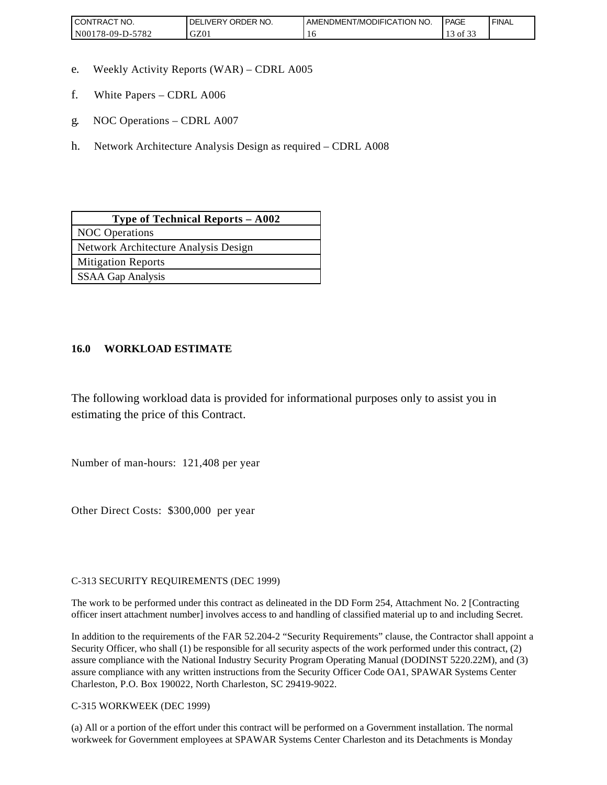| <b>CONTRACT NO.</b>                          | ORDER<br>NO.<br><b>DELIVERY</b> | AMENDMENT/MODIFICATION NO. | <b>PAGE</b>         | ' FINAL |
|----------------------------------------------|---------------------------------|----------------------------|---------------------|---------|
| N <sub>00</sub><br>5782<br>$3178 - 09 - D -$ | GZ01                            | . U                        | $\sim$ $\sim$<br>ΟĪ |         |

- e. Weekly Activity Reports (WAR) CDRL A005
- f. White Papers CDRL A006
- g. NOC Operations CDRL A007
- h. Network Architecture Analysis Design as required CDRL A008

| Type of Technical Reports - A002     |
|--------------------------------------|
| <b>NOC</b> Operations                |
| Network Architecture Analysis Design |
| <b>Mitigation Reports</b>            |
| <b>SSAA Gap Analysis</b>             |

### **16.0 WORKLOAD ESTIMATE**

The following workload data is provided for informational purposes only to assist you in estimating the price of this Contract.

Number of man-hours: 121,408 per year

Other Direct Costs: \$300,000 per year

C-313 SECURITY REQUIREMENTS (DEC 1999)

The work to be performed under this contract as delineated in the DD Form 254, Attachment No. 2 [Contracting officer insert attachment number] involves access to and handling of classified material up to and including Secret.

In addition to the requirements of the FAR 52.204-2 "Security Requirements" clause, the Contractor shall appoint a Security Officer, who shall (1) be responsible for all security aspects of the work performed under this contract, (2) assure compliance with the National Industry Security Program Operating Manual (DODINST 5220.22M), and (3) assure compliance with any written instructions from the Security Officer Code OA1, SPAWAR Systems Center Charleston, P.O. Box 190022, North Charleston, SC 29419-9022.

C-315 WORKWEEK (DEC 1999)

(a) All or a portion of the effort under this contract will be performed on a Government installation. The normal workweek for Government employees at SPAWAR Systems Center Charleston and its Detachments is Monday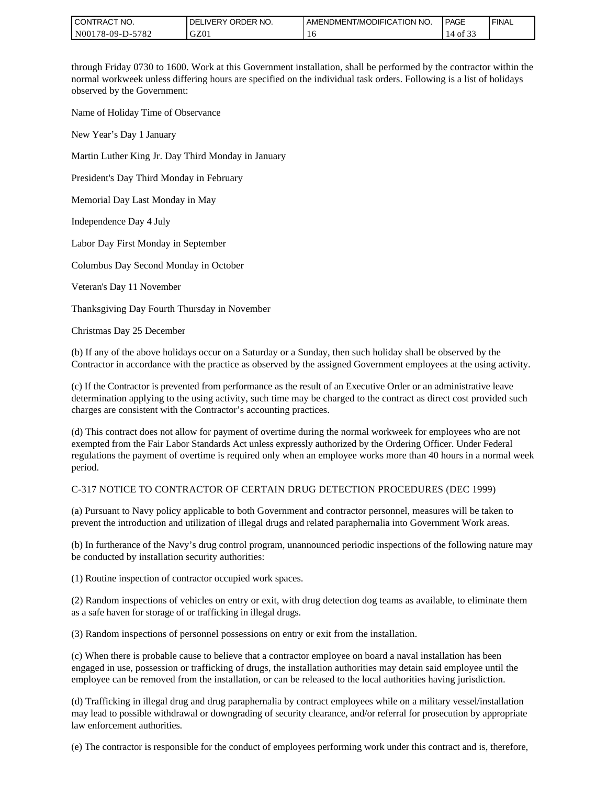| I CONTRACT NO.   | ORDER NO.<br>DELIVERY . | I AMENDMENT/MODIFICATION NO. | PAGE                                | ' FINAL |
|------------------|-------------------------|------------------------------|-------------------------------------|---------|
| N00178-09-D-5782 | GZ01                    | ∙ ∪                          | $\sim$ $\sim$ $\sim$<br>of 33<br>14 |         |

through Friday 0730 to 1600. Work at this Government installation, shall be performed by the contractor within the normal workweek unless differing hours are specified on the individual task orders. Following is a list of holidays observed by the Government:

Name of Holiday Time of Observance

New Year's Day 1 January

Martin Luther King Jr. Day Third Monday in January

President's Day Third Monday in February

Memorial Day Last Monday in May

Independence Day 4 July

Labor Day First Monday in September

Columbus Day Second Monday in October

Veteran's Day 11 November

Thanksgiving Day Fourth Thursday in November

Christmas Day 25 December

(b) If any of the above holidays occur on a Saturday or a Sunday, then such holiday shall be observed by the Contractor in accordance with the practice as observed by the assigned Government employees at the using activity.

(c) If the Contractor is prevented from performance as the result of an Executive Order or an administrative leave determination applying to the using activity, such time may be charged to the contract as direct cost provided such charges are consistent with the Contractor's accounting practices.

(d) This contract does not allow for payment of overtime during the normal workweek for employees who are not exempted from the Fair Labor Standards Act unless expressly authorized by the Ordering Officer. Under Federal regulations the payment of overtime is required only when an employee works more than 40 hours in a normal week period.

#### C-317 NOTICE TO CONTRACTOR OF CERTAIN DRUG DETECTION PROCEDURES (DEC 1999)

(a) Pursuant to Navy policy applicable to both Government and contractor personnel, measures will be taken to prevent the introduction and utilization of illegal drugs and related paraphernalia into Government Work areas.

(b) In furtherance of the Navy's drug control program, unannounced periodic inspections of the following nature may be conducted by installation security authorities:

(1) Routine inspection of contractor occupied work spaces.

(2) Random inspections of vehicles on entry or exit, with drug detection dog teams as available, to eliminate them as a safe haven for storage of or trafficking in illegal drugs.

(3) Random inspections of personnel possessions on entry or exit from the installation.

(c) When there is probable cause to believe that a contractor employee on board a naval installation has been engaged in use, possession or trafficking of drugs, the installation authorities may detain said employee until the employee can be removed from the installation, or can be released to the local authorities having jurisdiction.

(d) Trafficking in illegal drug and drug paraphernalia by contract employees while on a military vessel/installation may lead to possible withdrawal or downgrading of security clearance, and/or referral for prosecution by appropriate law enforcement authorities.

(e) The contractor is responsible for the conduct of employees performing work under this contract and is, therefore,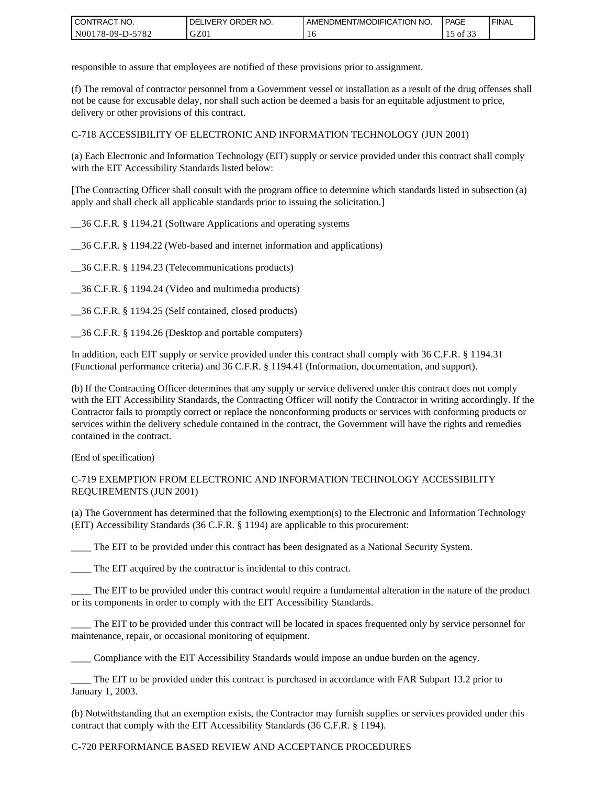| I CONTRACT NO.         | ORDER<br>NO.<br><b>DELIVERY</b> | AMENDMENT/MODIFICATION NO. | <b>PAGE</b>                           | ' FINAL |
|------------------------|---------------------------------|----------------------------|---------------------------------------|---------|
| N00178-09-D-5<br>-5782 | GZ01                            | . U                        | $\sim$ $\sim$<br>$\sim$ of $\sigma$ . |         |

responsible to assure that employees are notified of these provisions prior to assignment.

(f) The removal of contractor personnel from a Government vessel or installation as a result of the drug offenses shall not be cause for excusable delay, nor shall such action be deemed a basis for an equitable adjustment to price, delivery or other provisions of this contract.

C-718 ACCESSIBILITY OF ELECTRONIC AND INFORMATION TECHNOLOGY (JUN 2001)

(a) Each Electronic and Information Technology (EIT) supply or service provided under this contract shall comply with the EIT Accessibility Standards listed below:

[The Contracting Officer shall consult with the program office to determine which standards listed in subsection (a) apply and shall check all applicable standards prior to issuing the solicitation.]

\_\_36 C.F.R. § 1194.21 (Software Applications and operating systems

\_\_36 C.F.R. § 1194.22 (Web-based and internet information and applications)

\_\_36 C.F.R. § 1194.23 (Telecommunications products)

\_\_36 C.F.R. § 1194.24 (Video and multimedia products)

\_\_36 C.F.R. § 1194.25 (Self contained, closed products)

\_\_36 C.F.R. § 1194.26 (Desktop and portable computers)

In addition, each EIT supply or service provided under this contract shall comply with 36 C.F.R. § 1194.31 (Functional performance criteria) and 36 C.F.R. § 1194.41 (Information, documentation, and support).

(b) If the Contracting Officer determines that any supply or service delivered under this contract does not comply with the EIT Accessibility Standards, the Contracting Officer will notify the Contractor in writing accordingly. If the Contractor fails to promptly correct or replace the nonconforming products or services with conforming products or services within the delivery schedule contained in the contract, the Government will have the rights and remedies contained in the contract.

(End of specification)

### C-719 EXEMPTION FROM ELECTRONIC AND INFORMATION TECHNOLOGY ACCESSIBILITY REQUIREMENTS (JUN 2001)

(a) The Government has determined that the following exemption(s) to the Electronic and Information Technology (EIT) Accessibility Standards (36 C.F.R. § 1194) are applicable to this procurement:

The EIT to be provided under this contract has been designated as a National Security System.

\_\_\_\_ The EIT acquired by the contractor is incidental to this contract.

\_\_\_\_ The EIT to be provided under this contract would require a fundamental alteration in the nature of the product or its components in order to comply with the EIT Accessibility Standards.

The EIT to be provided under this contract will be located in spaces frequented only by service personnel for maintenance, repair, or occasional monitoring of equipment.

\_\_\_\_ Compliance with the EIT Accessibility Standards would impose an undue burden on the agency.

\_\_\_\_ The EIT to be provided under this contract is purchased in accordance with FAR Subpart 13.2 prior to January 1, 2003.

(b) Notwithstanding that an exemption exists, the Contractor may furnish supplies or services provided under this contract that comply with the EIT Accessibility Standards (36 C.F.R. § 1194).

### C-720 PERFORMANCE BASED REVIEW AND ACCEPTANCE PROCEDURES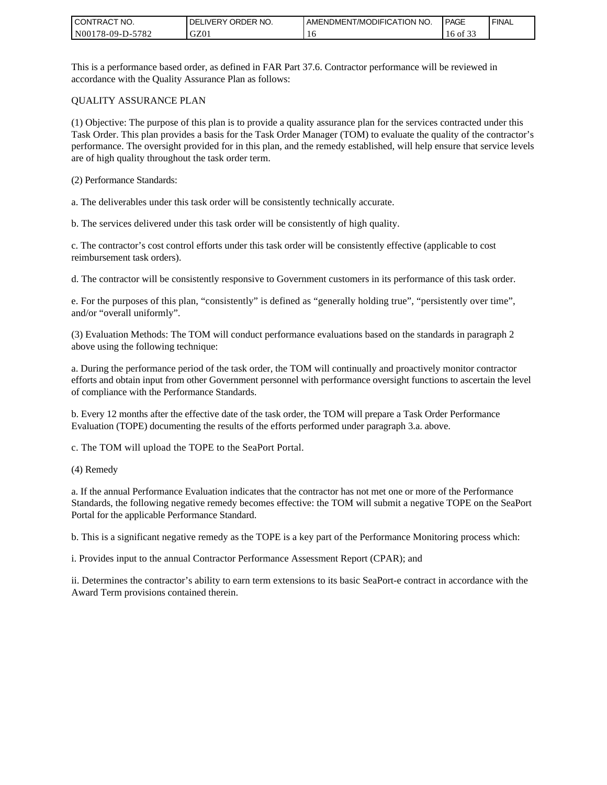| I CONTRACT NO.         | ORDER NO.<br><b>DELIVERY</b> | AMENDMENT/MODIFICATION NO. | <b>PAGE</b>                      | ' FINAL |
|------------------------|------------------------------|----------------------------|----------------------------------|---------|
| N00178-09-D-5<br>-5782 | GZ01                         |                            | $\sim$ $\sim$ $\sim$<br>16 of 33 |         |

This is a performance based order, as defined in FAR Part 37.6. Contractor performance will be reviewed in accordance with the Quality Assurance Plan as follows:

#### QUALITY ASSURANCE PLAN

(1) Objective: The purpose of this plan is to provide a quality assurance plan for the services contracted under this Task Order. This plan provides a basis for the Task Order Manager (TOM) to evaluate the quality of the contractor's performance. The oversight provided for in this plan, and the remedy established, will help ensure that service levels are of high quality throughout the task order term.

(2) Performance Standards:

a. The deliverables under this task order will be consistently technically accurate.

b. The services delivered under this task order will be consistently of high quality.

c. The contractor's cost control efforts under this task order will be consistently effective (applicable to cost reimbursement task orders).

d. The contractor will be consistently responsive to Government customers in its performance of this task order.

e. For the purposes of this plan, "consistently" is defined as "generally holding true", "persistently over time", and/or "overall uniformly".

(3) Evaluation Methods: The TOM will conduct performance evaluations based on the standards in paragraph 2 above using the following technique:

a. During the performance period of the task order, the TOM will continually and proactively monitor contractor efforts and obtain input from other Government personnel with performance oversight functions to ascertain the level of compliance with the Performance Standards.

b. Every 12 months after the effective date of the task order, the TOM will prepare a Task Order Performance Evaluation (TOPE) documenting the results of the efforts performed under paragraph 3.a. above.

c. The TOM will upload the TOPE to the SeaPort Portal.

(4) Remedy

a. If the annual Performance Evaluation indicates that the contractor has not met one or more of the Performance Standards, the following negative remedy becomes effective: the TOM will submit a negative TOPE on the SeaPort Portal for the applicable Performance Standard.

b. This is a significant negative remedy as the TOPE is a key part of the Performance Monitoring process which:

i. Provides input to the annual Contractor Performance Assessment Report (CPAR); and

ii. Determines the contractor's ability to earn term extensions to its basic SeaPort-e contract in accordance with the Award Term provisions contained therein.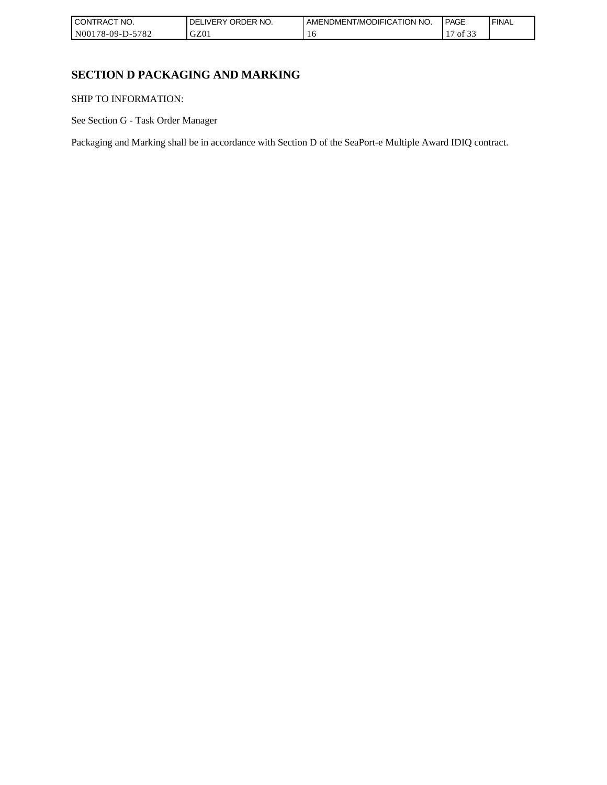| I CONT'<br>'TRACT NO.       | ORDER NO.<br><b>IVERY</b> | JT/MODIFICATION NO.<br>AMENDMENT | <b>PAGE</b>        | <b>FINAL</b> |
|-----------------------------|---------------------------|----------------------------------|--------------------|--------------|
| N00178-09-D-<br>5700<br>ے ہ | GZ01                      | $\sim$                           | $\sim$<br>Ē<br>-01 |              |

# **SECTION D PACKAGING AND MARKING**

SHIP TO INFORMATION:

See Section G - Task Order Manager

Packaging and Marking shall be in accordance with Section D of the SeaPort-e Multiple Award IDIQ contract.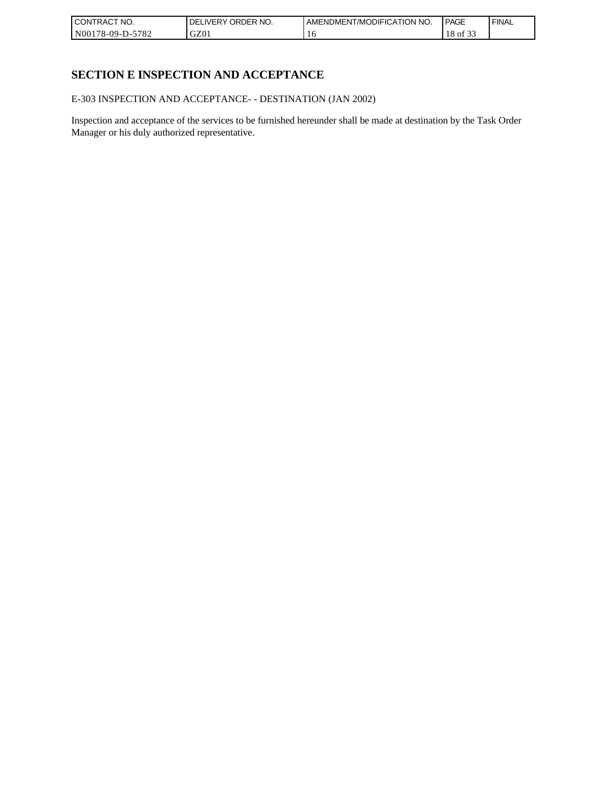| I CONTRACT NO.   | ORDER NO.<br><b>DELIVERY</b> | AMENDMENT/MODIFICATION NO. | <b>PAGE</b>                   | ' FINAL |
|------------------|------------------------------|----------------------------|-------------------------------|---------|
| N00178-09-D-5782 | GZ0 <sub>1</sub>             |                            | $\sim$ $\sim$ $\sim$<br>of 33 |         |

# **SECTION E INSPECTION AND ACCEPTANCE**

E-303 INSPECTION AND ACCEPTANCE- - DESTINATION (JAN 2002)

Inspection and acceptance of the services to be furnished hereunder shall be made at destination by the Task Order Manager or his duly authorized representative.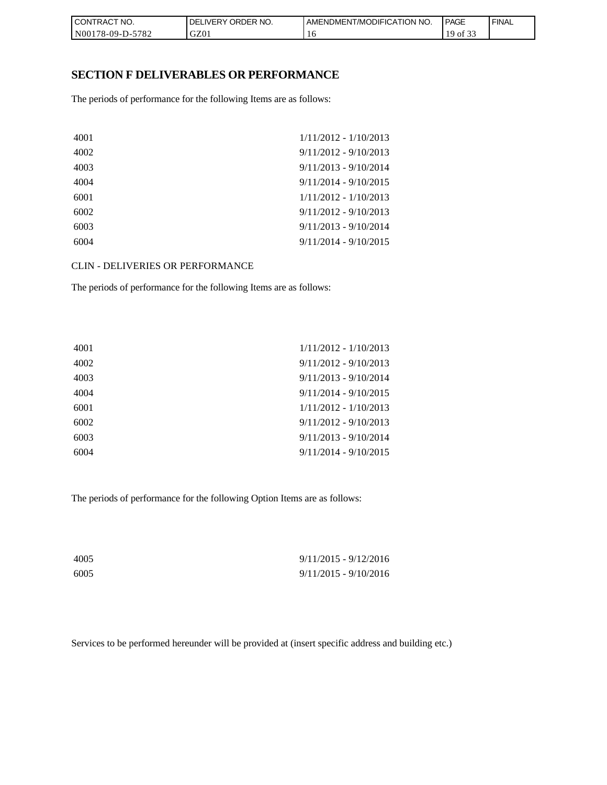| l CON <sup>-</sup><br>'TRACT NO. | NO.<br>ORDER <sup>'</sup><br><b>DELIVERY</b> | AMENDMENT/MODIFICATION<br>I NO. | <b>PAGE</b> | <b>FINAL</b> |
|----------------------------------|----------------------------------------------|---------------------------------|-------------|--------------|
| N00178-09-D-5782                 | GZ01                                         | 10                              | 0Ì<br>ن ر   |              |

### **SECTION F DELIVERABLES OR PERFORMANCE**

The periods of performance for the following Items are as follows:

| 4001 | $1/11/2012 - 1/10/2013$ |
|------|-------------------------|
| 4002 | $9/11/2012 - 9/10/2013$ |
| 4003 | $9/11/2013 - 9/10/2014$ |
| 4004 | $9/11/2014 - 9/10/2015$ |
| 6001 | $1/11/2012 - 1/10/2013$ |
| 6002 | $9/11/2012 - 9/10/2013$ |
| 6003 | $9/11/2013 - 9/10/2014$ |
| 6004 | $9/11/2014 - 9/10/2015$ |

CLIN - DELIVERIES OR PERFORMANCE

The periods of performance for the following Items are as follows:

The periods of performance for the following Option Items are as follows:

| 4005 | $9/11/2015 - 9/12/2016$ |
|------|-------------------------|
| 6005 | $9/11/2015 - 9/10/2016$ |

Services to be performed hereunder will be provided at (insert specific address and building etc.)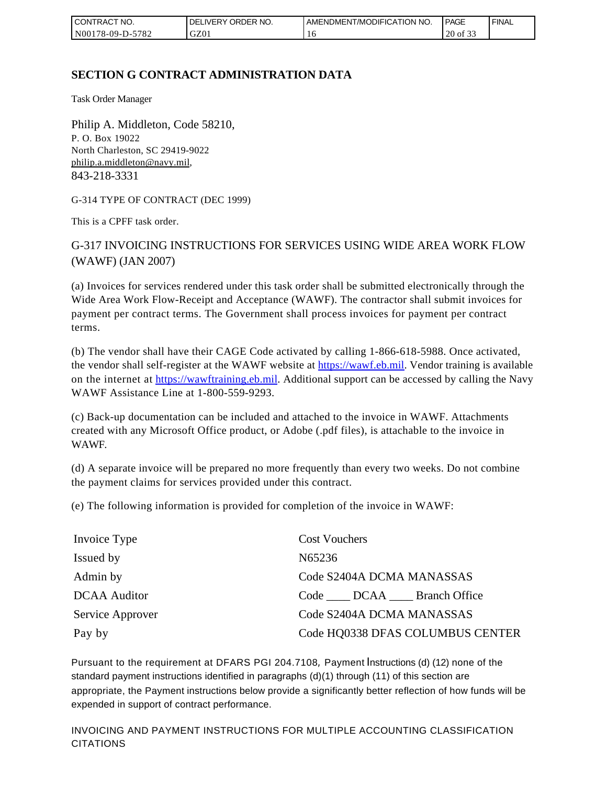| I CONTRACT NO.   | ORDER NO.<br><b>DELIVERY</b> | AMENDMENT/MODIFICATION NO. | <b>PAGE</b>                      | ' FINAL |
|------------------|------------------------------|----------------------------|----------------------------------|---------|
| N00178-09-D-5782 | GZ01                         |                            | $\sim$ $\sim$ $\sim$<br>20 of 33 |         |

# **SECTION G CONTRACT ADMINISTRATION DATA**

Task Order Manager

Philip A. Middleton, Code 58210, P. O. Box 19022 North Charleston, SC 29419-9022 [philip.a.middleton@navy.mil](mailto:cphilip.a.middleton@navy.mil), 843-218-3331

G-314 TYPE OF CONTRACT (DEC 1999)

This is a CPFF task order.

G-317 INVOICING INSTRUCTIONS FOR SERVICES USING WIDE AREA WORK FLOW (WAWF) (JAN 2007)

(a) Invoices for services rendered under this task order shall be submitted electronically through the Wide Area Work Flow-Receipt and Acceptance (WAWF). The contractor shall submit invoices for payment per contract terms. The Government shall process invoices for payment per contract terms.

(b) The vendor shall have their CAGE Code activated by calling 1-866-618-5988. Once activated, the vendor shall self-register at the WAWF website at [https://wawf.eb.mil.](https://wawf.eb.mil/) Vendor training is available on the internet at [https://wawftraining.eb.mil.](https://wawftraining.eb.mil/) Additional support can be accessed by calling the Navy WAWF Assistance Line at 1-800-559-9293.

(c) Back-up documentation can be included and attached to the invoice in WAWF. Attachments created with any Microsoft Office product, or Adobe (.pdf files), is attachable to the invoice in WAWF.

(d) A separate invoice will be prepared no more frequently than every two weeks. Do not combine the payment claims for services provided under this contract.

(e) The following information is provided for completion of the invoice in WAWF:

| Invoice Type        | <b>Cost Vouchers</b>                  |
|---------------------|---------------------------------------|
| Issued by           | N65236                                |
| Admin by            | Code S2404A DCMA MANASSAS             |
| <b>DCAA</b> Auditor | Code ______ DCAA ______ Branch Office |
| Service Approver    | Code S2404A DCMA MANASSAS             |
| Pay by              | Code HQ0338 DFAS COLUMBUS CENTER      |

Pursuant to the requirement at DFARS PGI 204.7108, Payment Instructions (d) (12) none of the standard payment instructions identified in paragraphs (d)(1) through (11) of this section are appropriate, the Payment instructions below provide a significantly better reflection of how funds will be expended in support of contract performance.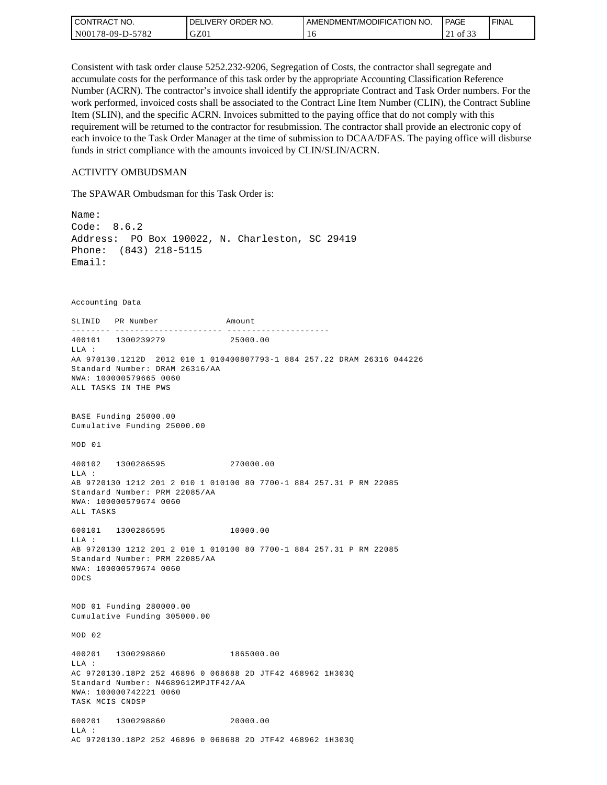| l CON <sup>-</sup><br>TRACT NO. | ORDER<br>NO.<br>LIVERY<br>DELI | AMENDMENT/MODIFICATION NO. | <b>PAGE</b>                                   | ' FINAL |
|---------------------------------|--------------------------------|----------------------------|-----------------------------------------------|---------|
| 5782<br>N00178-09-D-5           | GZ01                           | . U                        | $\sim$ $\sim$ $\sim$<br>ΟĪ<br>∸<br><u>. .</u> |         |

Consistent with task order clause 5252.232-9206, Segregation of Costs, the contractor shall segregate and accumulate costs for the performance of this task order by the appropriate Accounting Classification Reference Number (ACRN). The contractor's invoice shall identify the appropriate Contract and Task Order numbers. For the work performed, invoiced costs shall be associated to the Contract Line Item Number (CLIN), the Contract Subline Item (SLIN), and the specific ACRN. Invoices submitted to the paying office that do not comply with this requirement will be returned to the contractor for resubmission. The contractor shall provide an electronic copy of each invoice to the Task Order Manager at the time of submission to DCAA/DFAS. The paying office will disburse funds in strict compliance with the amounts invoiced by CLIN/SLIN/ACRN.

#### ACTIVITY OMBUDSMAN

The SPAWAR Ombudsman for this Task Order is:

Name: Code: 8.6.2 Address: PO Box 190022, N. Charleston, SC 29419 Phone: (843) 218-5115 Email: Accounting Data SLINID PR Number Amount -------- ---------------------- ---------------------400101 1300239279 25000.00 LLA : AA 970130.1212D 2012 010 1 010400807793-1 884 257.22 DRAM 26316 044226 Standard Number: DRAM 26316/AA NWA: 100000579665 0060 ALL TASKS IN THE PWS BASE Funding 25000.00 Cumulative Funding 25000.00 MOD 01 400102 1300286595 270000.00 LLA : AB 9720130 1212 201 2 010 1 010100 80 7700-1 884 257.31 P RM 22085 Standard Number: PRM 22085/AA NWA: 100000579674 0060 ALL TASKS 600101 1300286595 10000.00 LLA : AB 9720130 1212 201 2 010 1 010100 80 7700-1 884 257.31 P RM 22085 Standard Number: PRM 22085/AA NWA: 100000579674 0060 ODCS MOD 01 Funding 280000.00 Cumulative Funding 305000.00 MOD 02 400201 1300298860 1865000.00  $T.T.A$  : AC 9720130.18P2 252 46896 0 068688 2D JTF42 468962 1H303Q Standard Number: N4689612MPJTF42/AA NWA: 100000742221 0060 TASK MCIS CNDSP 600201 1300298860 20000.00 LLA : AC 9720130.18P2 252 46896 0 068688 2D JTF42 468962 1H303Q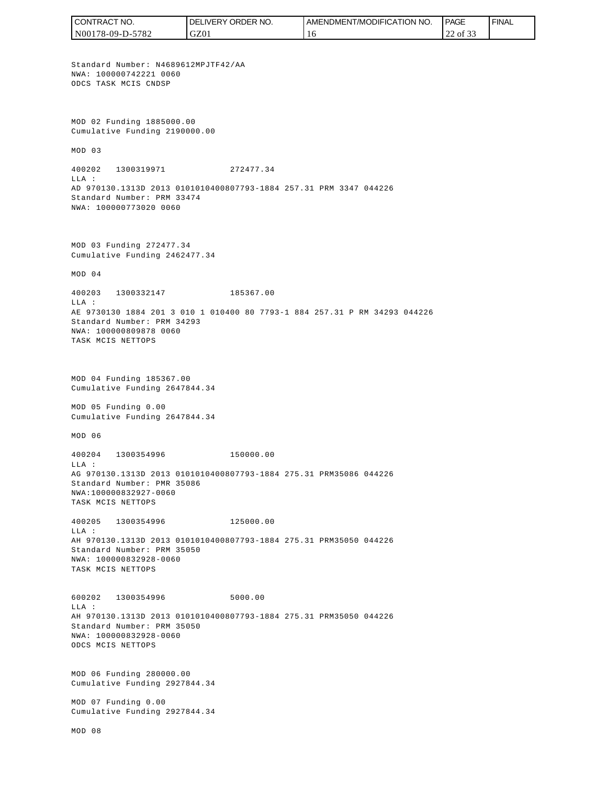CONTRACT NO. DELIVERY ORDER NO. AMENDMENT/MODIFICATION NO. **PAGE**  FINALCONTRACT NO.<br>
NO0178-09-D-5<br>
Standard Numb<br>
Non 178-09-D-5<br>
Standard Numb<br>
NNA: 10000074<br>
ODCS TASK MCI<br>
Cumulative Fu<br>
MOD 03<br>
400202 1300<br>
400202 1300<br>
LLA:<br>
AD 970130.131<br>
Standard Numb<br>
NNA: 10000077<br>
MOD 03 Fundin<br>
Cu N00178-09-D-5782 GZ01 16 22 of 33 Standard Number: N4689612MPJTF42/AA NWA: 100000742221 0060 ODCS TASK MCIS CNDSP MOD 02 Funding 1885000.00 Cumulative Funding 2190000.00 MOD 03 400202 1300319971 272477.34  $T.T.A$  : AD 970130.1313D 2013 0101010400807793-1884 257.31 PRM 3347 044226 Standard Number: PRM 33474 NWA: 100000773020 0060 MOD 03 Funding 272477.34 Cumulative Funding 2462477.34 MOD 04 400203 1300332147 185367.00 LLA : AE 9730130 1884 201 3 010 1 010400 80 7793-1 884 257.31 P RM 34293 044226 Standard Number: PRM 34293 NWA: 100000809878 0060 TASK MCIS NETTOPS MOD 04 Funding 185367.00 Cumulative Funding 2647844.34 MOD 05 Funding 0.00 Cumulative Funding 2647844.34 MOD 06 400204 1300354996 150000.00  $T.T.A$  : AG 970130.1313D 2013 0101010400807793-1884 275.31 PRM35086 044226 Standard Number: PMR 35086 NWA:100000832927-0060 TASK MCIS NETTOPS 400205 1300354996 125000.00 LLA : AH 970130.1313D 2013 0101010400807793-1884 275.31 PRM35050 044226 Standard Number: PRM 35050 NWA: 100000832928-0060 TASK MCIS NETTOPS 600202 1300354996 5000.00 LLA : AH 970130.1313D 2013 0101010400807793-1884 275.31 PRM35050 044226 Standard Number: PRM 35050 NWA: 100000832928-0060 ODCS MCIS NETTOPS MOD 06 Funding 280000.00 Cumulative Funding 2927844.34 MOD 07 Funding 0.00 Cumulative Funding 2927844.34 MOD 08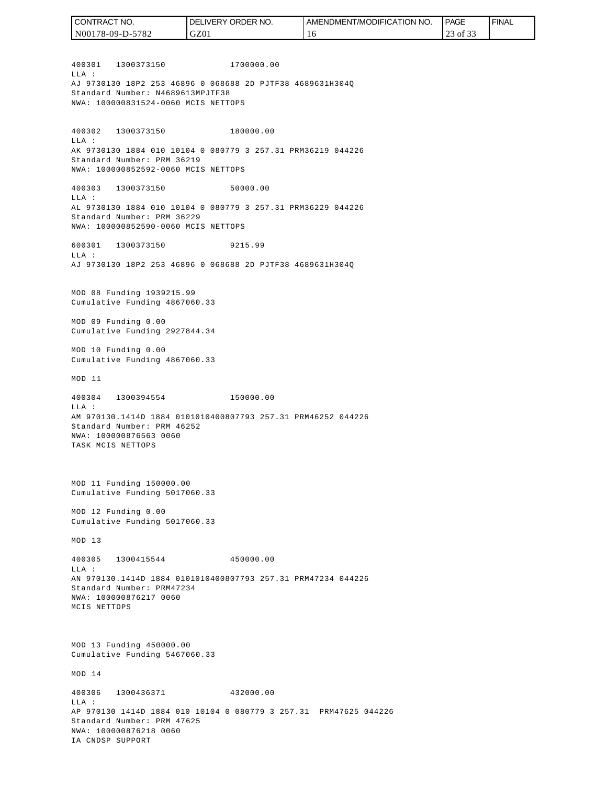400301 1300373150 1700000.00  $T.T.A$  : AJ 9730130 18P2 253 46896 0 068688 2D PJTF38 4689631H304Q Standard Number: N4689613MPJTF38 NWA: 100000831524-0060 MCIS NETTOPS 400302 1300373150 180000.00 LLA : AK 9730130 1884 010 10104 0 080779 3 257.31 PRM36219 044226 Standard Number: PRM 36219 NWA: 100000852592-0060 MCIS NETTOPS 400303 1300373150 50000.00 LLA : AL 9730130 1884 010 10104 0 080779 3 257.31 PRM36229 044226 Standard Number: PRM 36229 NWA: 100000852590-0060 MCIS NETTOPS 600301 1300373150 9215.99  $T.T.A$  : AJ 9730130 18P2 253 46896 0 068688 2D PJTF38 4689631H304Q MOD 08 Funding 1939215.99 Cumulative Funding 4867060.33 MOD 09 Funding 0.00 Cumulative Funding 2927844.34 MOD 10 Funding 0.00 Cumulative Funding 4867060.33 MOD 11 400304 1300394554 150000.00 LLA : AM 970130.1414D 1884 0101010400807793 257.31 PRM46252 044226 Standard Number: PRM 46252 NWA: 100000876563 0060 TASK MCIS NETTOPS MOD 11 Funding 150000.00 Cumulative Funding 5017060.33 MOD 12 Funding 0.00 Cumulative Funding 5017060.33 MOD 13 400305 1300415544 450000.00  $T.T.A$  : AN 970130.1414D 1884 0101010400807793 257.31 PRM47234 044226 Standard Number: PRM47234 NWA: 100000876217 0060 MCIS NETTOPS MOD 13 Funding 450000.00 Cumulative Funding 5467060.33 MOD 14 400306 1300436371 432000.00  $T.T.A$  : AP 970130 1414D 1884 010 10104 0 080779 3 257.31 PRM47625 044226 Standard Number: PRM 47625 NWA: 100000876218 0060 IA CNDSP SUPPORT N00178-09-D-5782 GZ01 16 23 of 33

CONTRACT NO.

DELIVERY ORDER NO.

AMENDMENT/MODIFICATION NO.

PAGE

FINAL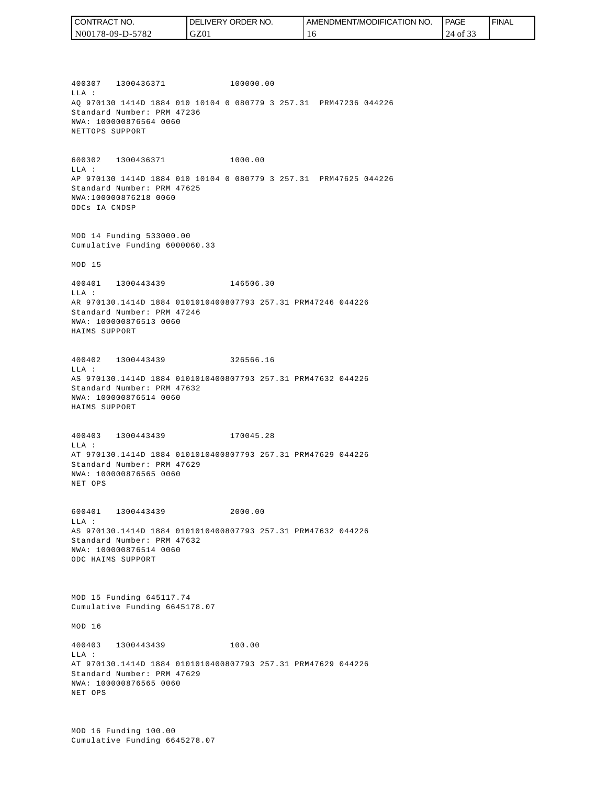| I CONTRACT NO.   | <b>I DELIVERY ORDER NO.</b> | I AMENDMENT/MODIFICATION NO. | <b>PAGE</b> | ' FINAL |
|------------------|-----------------------------|------------------------------|-------------|---------|
| N00178-09-D-5782 | GZ01                        | 10                           | $4$ of 3.   |         |

400307 1300436371 100000.00 LLA : AQ 970130 1414D 1884 010 10104 0 080779 3 257.31 PRM47236 044226 Standard Number: PRM 47236 NWA: 100000876564 0060 NETTOPS SUPPORT

600302 1300436371 1000.00 LLA : AP 970130 1414D 1884 010 10104 0 080779 3 257.31 PRM47625 044226 Standard Number: PRM 47625 NWA:100000876218 0060 ODCs IA CNDSP

MOD 14 Funding 533000.00 Cumulative Funding 6000060.33

MOD 15

400401 1300443439 146506.30 LLA : AR 970130.1414D 1884 0101010400807793 257.31 PRM47246 044226 Standard Number: PRM 47246 NWA: 100000876513 0060 HAIMS SUPPORT

400402 1300443439 326566.16 LLA : AS 970130.1414D 1884 0101010400807793 257.31 PRM47632 044226 Standard Number: PRM 47632 NWA: 100000876514 0060 HAIMS SUPPORT

400403 1300443439 170045.28 LLA : AT 970130.1414D 1884 0101010400807793 257.31 PRM47629 044226 Standard Number: PRM 47629 NWA: 100000876565 0060 NET OPS

600401 1300443439 2000.00  $T.T.A$  : AS 970130.1414D 1884 0101010400807793 257.31 PRM47632 044226 Standard Number: PRM 47632 NWA: 100000876514 0060 ODC HAIMS SUPPORT

MOD 15 Funding 645117.74 Cumulative Funding 6645178.07

MOD 16

400403 1300443439 100.00 LLA : AT 970130.1414D 1884 0101010400807793 257.31 PRM47629 044226 Standard Number: PRM 47629 NWA: 100000876565 0060 NET OPS

MOD 16 Funding 100.00 Cumulative Funding 6645278.07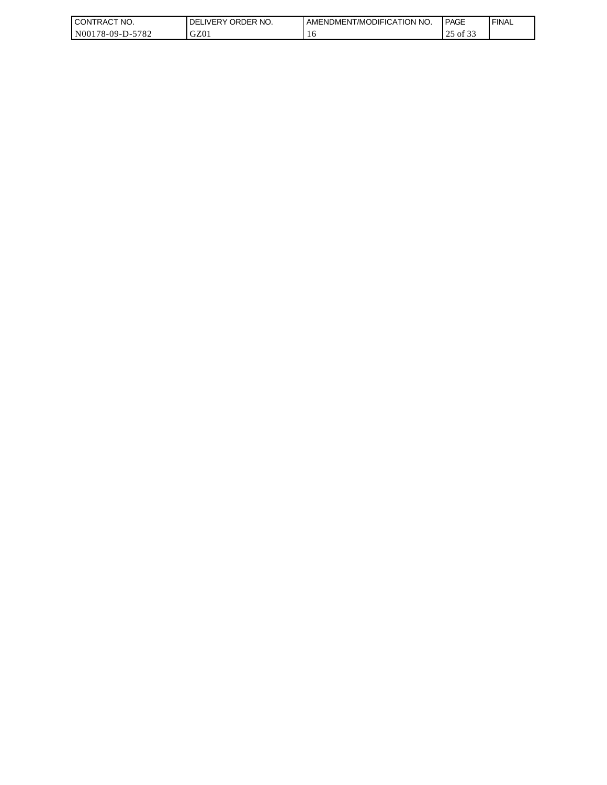| CONTRACT<br>'NO. | ORDER NO.<br><b>DELIVERY</b> | <b>LAMENDMENT/MODIFICATION NO.</b> | <b>PAGE</b>     | ' FINAL |
|------------------|------------------------------|------------------------------------|-----------------|---------|
| N00178-09-D-5782 | GZ01                         | n                                  | ΟĪ<br>ر_<br>. ب |         |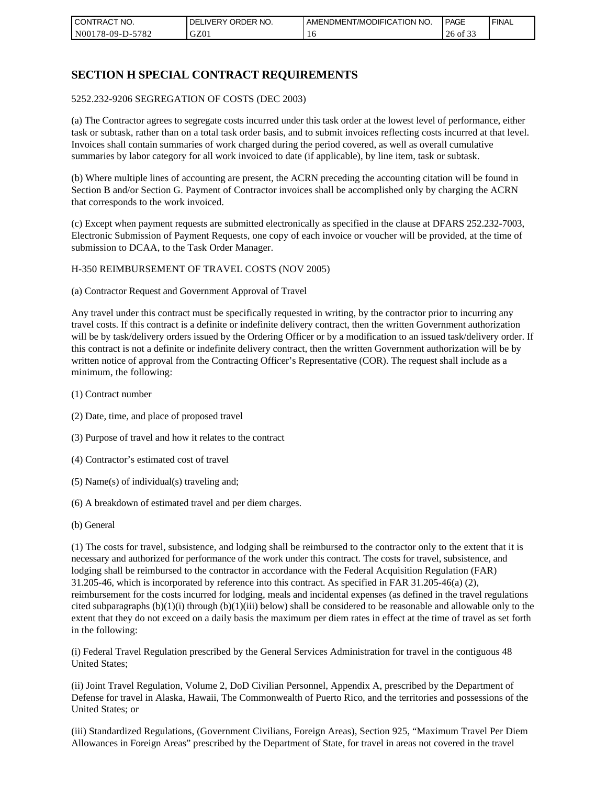| I CON <sup>-</sup><br><b>'TRACT NO.</b> | NO.<br>ORDER<br>DELIVERY | AMENDMENT/MODIFICATION NO. | I PAGE                              | ' FINAL |
|-----------------------------------------|--------------------------|----------------------------|-------------------------------------|---------|
| N00178-09-D-5782                        | GZ01                     | 1 U                        | $\sim$ $\sim$ $\sim$<br>26<br>of 33 |         |

# **SECTION H SPECIAL CONTRACT REQUIREMENTS**

#### 5252.232-9206 SEGREGATION OF COSTS (DEC 2003)

(a) The Contractor agrees to segregate costs incurred under this task order at the lowest level of performance, either task or subtask, rather than on a total task order basis, and to submit invoices reflecting costs incurred at that level. Invoices shall contain summaries of work charged during the period covered, as well as overall cumulative summaries by labor category for all work invoiced to date (if applicable), by line item, task or subtask.

(b) Where multiple lines of accounting are present, the ACRN preceding the accounting citation will be found in Section B and/or Section G. Payment of Contractor invoices shall be accomplished only by charging the ACRN that corresponds to the work invoiced.

(c) Except when payment requests are submitted electronically as specified in the clause at DFARS 252.232-7003, Electronic Submission of Payment Requests, one copy of each invoice or voucher will be provided, at the time of submission to DCAA, to the Task Order Manager.

#### H-350 REIMBURSEMENT OF TRAVEL COSTS (NOV 2005)

(a) Contractor Request and Government Approval of Travel

Any travel under this contract must be specifically requested in writing, by the contractor prior to incurring any travel costs. If this contract is a definite or indefinite delivery contract, then the written Government authorization will be by task/delivery orders issued by the Ordering Officer or by a modification to an issued task/delivery order. If this contract is not a definite or indefinite delivery contract, then the written Government authorization will be by written notice of approval from the Contracting Officer's Representative (COR). The request shall include as a minimum, the following:

- (1) Contract number
- (2) Date, time, and place of proposed travel
- (3) Purpose of travel and how it relates to the contract
- (4) Contractor's estimated cost of travel
- (5) Name(s) of individual(s) traveling and;
- (6) A breakdown of estimated travel and per diem charges.
- (b) General

(1) The costs for travel, subsistence, and lodging shall be reimbursed to the contractor only to the extent that it is necessary and authorized for performance of the work under this contract. The costs for travel, subsistence, and lodging shall be reimbursed to the contractor in accordance with the Federal Acquisition Regulation (FAR) 31.205-46, which is incorporated by reference into this contract. As specified in FAR 31.205-46(a) (2), reimbursement for the costs incurred for lodging, meals and incidental expenses (as defined in the travel regulations cited subparagraphs  $(b)(1)(i)$  through  $(b)(1)(iii)$  below) shall be considered to be reasonable and allowable only to the extent that they do not exceed on a daily basis the maximum per diem rates in effect at the time of travel as set forth in the following:

(i) Federal Travel Regulation prescribed by the General Services Administration for travel in the contiguous 48 United States;

(ii) Joint Travel Regulation, Volume 2, DoD Civilian Personnel, Appendix A, prescribed by the Department of Defense for travel in Alaska, Hawaii, The Commonwealth of Puerto Rico, and the territories and possessions of the United States; or

(iii) Standardized Regulations, (Government Civilians, Foreign Areas), Section 925, "Maximum Travel Per Diem Allowances in Foreign Areas" prescribed by the Department of State, for travel in areas not covered in the travel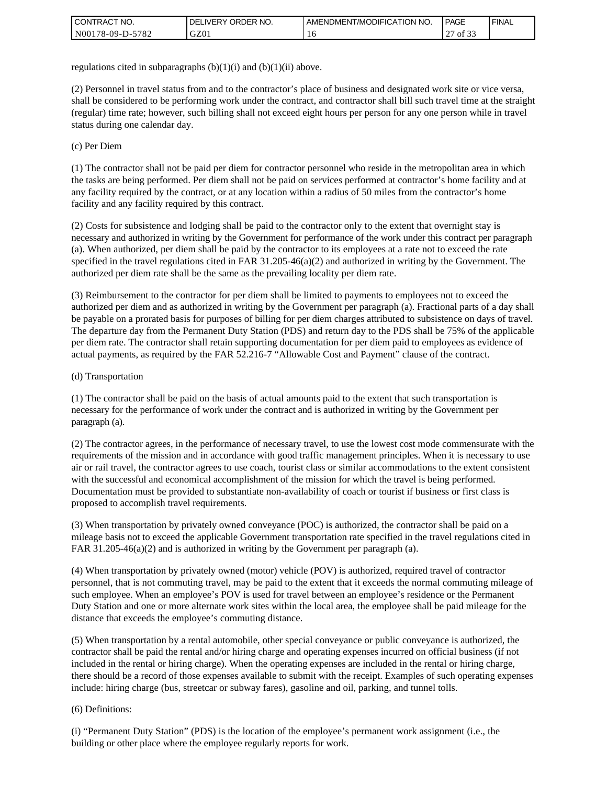| I CONT'<br>TRACT NO.   | ' ORDER NO.<br><b>DELIVERY</b> | I AMENDMENT/MODIFICATION NO. | <b>PAGE</b>       | ' FINAL |
|------------------------|--------------------------------|------------------------------|-------------------|---------|
| -5782<br>N00178-09-D-5 | GZ01                           | n                            | of 33<br><u>.</u> |         |

regulations cited in subparagraphs  $(b)(1)(i)$  and  $(b)(1)(ii)$  above.

(2) Personnel in travel status from and to the contractor's place of business and designated work site or vice versa, shall be considered to be performing work under the contract, and contractor shall bill such travel time at the straight (regular) time rate; however, such billing shall not exceed eight hours per person for any one person while in travel status during one calendar day.

(c) Per Diem

(1) The contractor shall not be paid per diem for contractor personnel who reside in the metropolitan area in which the tasks are being performed. Per diem shall not be paid on services performed at contractor's home facility and at any facility required by the contract, or at any location within a radius of 50 miles from the contractor's home facility and any facility required by this contract.

(2) Costs for subsistence and lodging shall be paid to the contractor only to the extent that overnight stay is necessary and authorized in writing by the Government for performance of the work under this contract per paragraph (a). When authorized, per diem shall be paid by the contractor to its employees at a rate not to exceed the rate specified in the travel regulations cited in FAR 31.205-46(a)(2) and authorized in writing by the Government. The authorized per diem rate shall be the same as the prevailing locality per diem rate.

(3) Reimbursement to the contractor for per diem shall be limited to payments to employees not to exceed the authorized per diem and as authorized in writing by the Government per paragraph (a). Fractional parts of a day shall be payable on a prorated basis for purposes of billing for per diem charges attributed to subsistence on days of travel. The departure day from the Permanent Duty Station (PDS) and return day to the PDS shall be 75% of the applicable per diem rate. The contractor shall retain supporting documentation for per diem paid to employees as evidence of actual payments, as required by the FAR 52.216-7 "Allowable Cost and Payment" clause of the contract.

#### (d) Transportation

(1) The contractor shall be paid on the basis of actual amounts paid to the extent that such transportation is necessary for the performance of work under the contract and is authorized in writing by the Government per paragraph (a).

(2) The contractor agrees, in the performance of necessary travel, to use the lowest cost mode commensurate with the requirements of the mission and in accordance with good traffic management principles. When it is necessary to use air or rail travel, the contractor agrees to use coach, tourist class or similar accommodations to the extent consistent with the successful and economical accomplishment of the mission for which the travel is being performed. Documentation must be provided to substantiate non-availability of coach or tourist if business or first class is proposed to accomplish travel requirements.

(3) When transportation by privately owned conveyance (POC) is authorized, the contractor shall be paid on a mileage basis not to exceed the applicable Government transportation rate specified in the travel regulations cited in FAR 31.205-46(a)(2) and is authorized in writing by the Government per paragraph (a).

(4) When transportation by privately owned (motor) vehicle (POV) is authorized, required travel of contractor personnel, that is not commuting travel, may be paid to the extent that it exceeds the normal commuting mileage of such employee. When an employee's POV is used for travel between an employee's residence or the Permanent Duty Station and one or more alternate work sites within the local area, the employee shall be paid mileage for the distance that exceeds the employee's commuting distance.

(5) When transportation by a rental automobile, other special conveyance or public conveyance is authorized, the contractor shall be paid the rental and/or hiring charge and operating expenses incurred on official business (if not included in the rental or hiring charge). When the operating expenses are included in the rental or hiring charge, there should be a record of those expenses available to submit with the receipt. Examples of such operating expenses include: hiring charge (bus, streetcar or subway fares), gasoline and oil, parking, and tunnel tolls.

#### (6) Definitions:

(i) "Permanent Duty Station" (PDS) is the location of the employee's permanent work assignment (i.e., the building or other place where the employee regularly reports for work.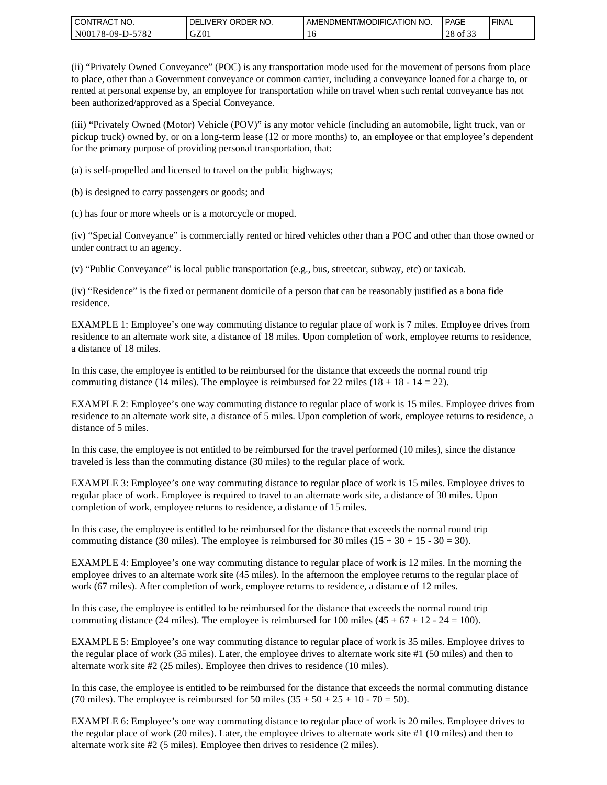| I CONTRACT NO.   | DELIVERY ORDER NO. | <b>LAMENDMENT/MODIFICATION NO.</b> | PAGE                         | ' FINAL |
|------------------|--------------------|------------------------------------|------------------------------|---------|
| N00178-09-D-5782 | GZ01               |                                    | $\sim$ $\sim$<br>28<br>of 33 |         |

(ii) "Privately Owned Conveyance" (POC) is any transportation mode used for the movement of persons from place to place, other than a Government conveyance or common carrier, including a conveyance loaned for a charge to, or rented at personal expense by, an employee for transportation while on travel when such rental conveyance has not been authorized/approved as a Special Conveyance.

(iii) "Privately Owned (Motor) Vehicle (POV)" is any motor vehicle (including an automobile, light truck, van or pickup truck) owned by, or on a long-term lease (12 or more months) to, an employee or that employee's dependent for the primary purpose of providing personal transportation, that:

(a) is self-propelled and licensed to travel on the public highways;

(b) is designed to carry passengers or goods; and

(c) has four or more wheels or is a motorcycle or moped.

(iv) "Special Conveyance" is commercially rented or hired vehicles other than a POC and other than those owned or under contract to an agency.

(v) "Public Conveyance" is local public transportation (e.g., bus, streetcar, subway, etc) or taxicab.

(iv) "Residence" is the fixed or permanent domicile of a person that can be reasonably justified as a bona fide residence.

EXAMPLE 1: Employee's one way commuting distance to regular place of work is 7 miles. Employee drives from residence to an alternate work site, a distance of 18 miles. Upon completion of work, employee returns to residence, a distance of 18 miles.

In this case, the employee is entitled to be reimbursed for the distance that exceeds the normal round trip commuting distance (14 miles). The employee is reimbursed for 22 miles (18 + 18 - 14 = 22).

EXAMPLE 2: Employee's one way commuting distance to regular place of work is 15 miles. Employee drives from residence to an alternate work site, a distance of 5 miles. Upon completion of work, employee returns to residence, a distance of 5 miles.

In this case, the employee is not entitled to be reimbursed for the travel performed (10 miles), since the distance traveled is less than the commuting distance (30 miles) to the regular place of work.

EXAMPLE 3: Employee's one way commuting distance to regular place of work is 15 miles. Employee drives to regular place of work. Employee is required to travel to an alternate work site, a distance of 30 miles. Upon completion of work, employee returns to residence, a distance of 15 miles.

In this case, the employee is entitled to be reimbursed for the distance that exceeds the normal round trip commuting distance (30 miles). The employee is reimbursed for 30 miles  $(15 + 30 + 15 - 30 = 30)$ .

EXAMPLE 4: Employee's one way commuting distance to regular place of work is 12 miles. In the morning the employee drives to an alternate work site (45 miles). In the afternoon the employee returns to the regular place of work (67 miles). After completion of work, employee returns to residence, a distance of 12 miles.

In this case, the employee is entitled to be reimbursed for the distance that exceeds the normal round trip commuting distance (24 miles). The employee is reimbursed for 100 miles  $(45 + 67 + 12 - 24 = 100)$ .

EXAMPLE 5: Employee's one way commuting distance to regular place of work is 35 miles. Employee drives to the regular place of work (35 miles). Later, the employee drives to alternate work site #1 (50 miles) and then to alternate work site #2 (25 miles). Employee then drives to residence (10 miles).

In this case, the employee is entitled to be reimbursed for the distance that exceeds the normal commuting distance (70 miles). The employee is reimbursed for 50 miles  $(35 + 50 + 25 + 10 - 70 = 50)$ .

EXAMPLE 6: Employee's one way commuting distance to regular place of work is 20 miles. Employee drives to the regular place of work (20 miles). Later, the employee drives to alternate work site #1 (10 miles) and then to alternate work site #2 (5 miles). Employee then drives to residence (2 miles).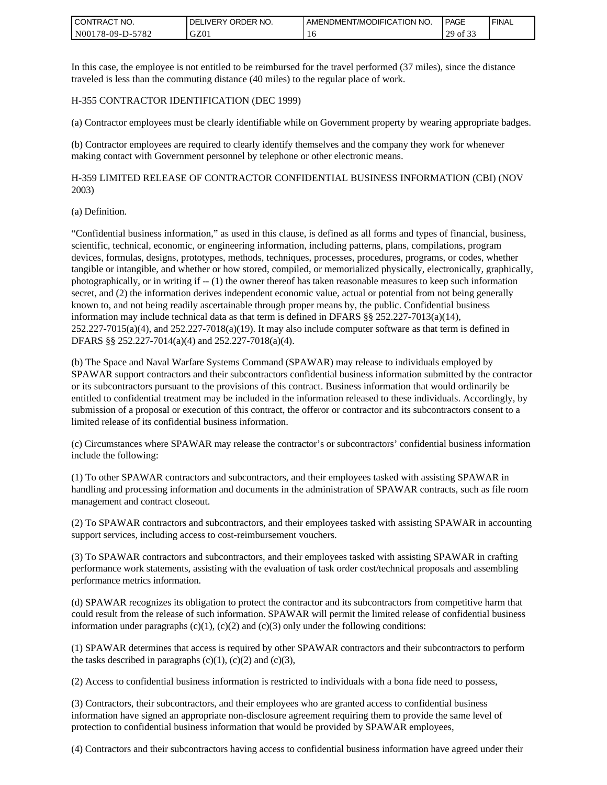| <b>CONTRACT NO.</b> | ' ORDER NO.<br><b>DELIVERY</b> | I AMENDMENT/MODIFICATION NO. | PAGE        | ' FINAL |
|---------------------|--------------------------------|------------------------------|-------------|---------|
| N00178-09-D-5782    | GZ01                           |                              | 29<br>of 33 |         |

In this case, the employee is not entitled to be reimbursed for the travel performed (37 miles), since the distance traveled is less than the commuting distance (40 miles) to the regular place of work.

#### H-355 CONTRACTOR IDENTIFICATION (DEC 1999)

(a) Contractor employees must be clearly identifiable while on Government property by wearing appropriate badges.

(b) Contractor employees are required to clearly identify themselves and the company they work for whenever making contact with Government personnel by telephone or other electronic means.

H-359 LIMITED RELEASE OF CONTRACTOR CONFIDENTIAL BUSINESS INFORMATION (CBI) (NOV 2003)

#### (a) Definition.

"Confidential business information," as used in this clause, is defined as all forms and types of financial, business, scientific, technical, economic, or engineering information, including patterns, plans, compilations, program devices, formulas, designs, prototypes, methods, techniques, processes, procedures, programs, or codes, whether tangible or intangible, and whether or how stored, compiled, or memorialized physically, electronically, graphically, photographically, or in writing if -- (1) the owner thereof has taken reasonable measures to keep such information secret, and (2) the information derives independent economic value, actual or potential from not being generally known to, and not being readily ascertainable through proper means by, the public. Confidential business information may include technical data as that term is defined in DFARS §§ 252.227-7013(a)(14),  $252.227-7015(a)(4)$ , and  $252.227-7018(a)(19)$ . It may also include computer software as that term is defined in DFARS §§ 252.227-7014(a)(4) and 252.227-7018(a)(4).

(b) The Space and Naval Warfare Systems Command (SPAWAR) may release to individuals employed by SPAWAR support contractors and their subcontractors confidential business information submitted by the contractor or its subcontractors pursuant to the provisions of this contract. Business information that would ordinarily be entitled to confidential treatment may be included in the information released to these individuals. Accordingly, by submission of a proposal or execution of this contract, the offeror or contractor and its subcontractors consent to a limited release of its confidential business information.

(c) Circumstances where SPAWAR may release the contractor's or subcontractors' confidential business information include the following:

(1) To other SPAWAR contractors and subcontractors, and their employees tasked with assisting SPAWAR in handling and processing information and documents in the administration of SPAWAR contracts, such as file room management and contract closeout.

(2) To SPAWAR contractors and subcontractors, and their employees tasked with assisting SPAWAR in accounting support services, including access to cost-reimbursement vouchers.

(3) To SPAWAR contractors and subcontractors, and their employees tasked with assisting SPAWAR in crafting performance work statements, assisting with the evaluation of task order cost/technical proposals and assembling performance metrics information.

(d) SPAWAR recognizes its obligation to protect the contractor and its subcontractors from competitive harm that could result from the release of such information. SPAWAR will permit the limited release of confidential business information under paragraphs  $(c)(1)$ ,  $(c)(2)$  and  $(c)(3)$  only under the following conditions:

(1) SPAWAR determines that access is required by other SPAWAR contractors and their subcontractors to perform the tasks described in paragraphs  $(c)(1)$ ,  $(c)(2)$  and  $(c)(3)$ ,

(2) Access to confidential business information is restricted to individuals with a bona fide need to possess,

(3) Contractors, their subcontractors, and their employees who are granted access to confidential business information have signed an appropriate non-disclosure agreement requiring them to provide the same level of protection to confidential business information that would be provided by SPAWAR employees,

(4) Contractors and their subcontractors having access to confidential business information have agreed under their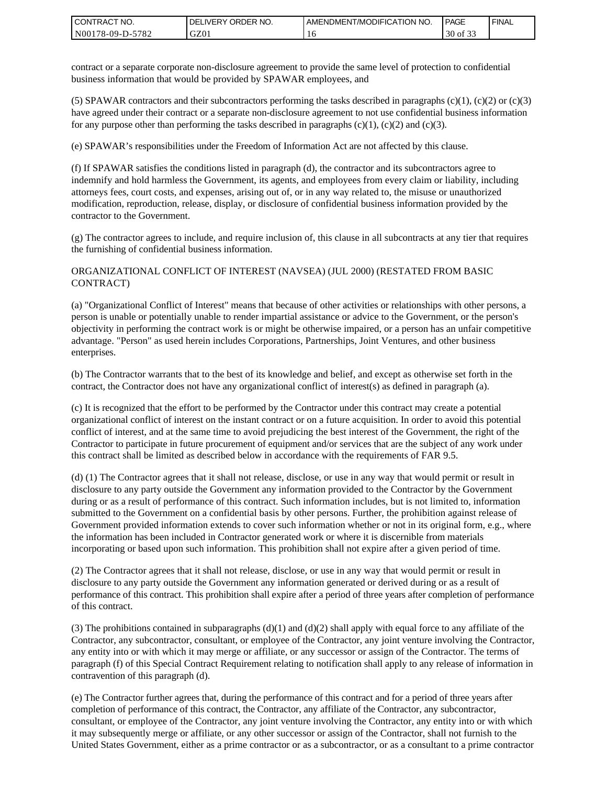| l CON:<br>'TRACT NO.  | ORDER NO.<br>IVERY<br>I DEL. | AMENDMENT/MODIFICATION NO. | <b>PAGE</b>                                                | ' FINAL |
|-----------------------|------------------------------|----------------------------|------------------------------------------------------------|---------|
| N00178-09-D-5<br>5782 | GZ01                         | . U                        | $\sim$ $\sim$ $\sim$<br>$\Omega$<br>ΟĪ<br>30<br><u>. .</u> |         |

contract or a separate corporate non-disclosure agreement to provide the same level of protection to confidential business information that would be provided by SPAWAR employees, and

(5) SPAWAR contractors and their subcontractors performing the tasks described in paragraphs  $(c)(1)$ ,  $(c)(2)$  or  $(c)(3)$ have agreed under their contract or a separate non-disclosure agreement to not use confidential business information for any purpose other than performing the tasks described in paragraphs  $(c)(1)$ ,  $(c)(2)$  and  $(c)(3)$ .

(e) SPAWAR's responsibilities under the Freedom of Information Act are not affected by this clause.

(f) If SPAWAR satisfies the conditions listed in paragraph (d), the contractor and its subcontractors agree to indemnify and hold harmless the Government, its agents, and employees from every claim or liability, including attorneys fees, court costs, and expenses, arising out of, or in any way related to, the misuse or unauthorized modification, reproduction, release, display, or disclosure of confidential business information provided by the contractor to the Government.

(g) The contractor agrees to include, and require inclusion of, this clause in all subcontracts at any tier that requires the furnishing of confidential business information.

### ORGANIZATIONAL CONFLICT OF INTEREST (NAVSEA) (JUL 2000) (RESTATED FROM BASIC CONTRACT)

(a) "Organizational Conflict of Interest" means that because of other activities or relationships with other persons, a person is unable or potentially unable to render impartial assistance or advice to the Government, or the person's objectivity in performing the contract work is or might be otherwise impaired, or a person has an unfair competitive advantage. "Person" as used herein includes Corporations, Partnerships, Joint Ventures, and other business enterprises.

(b) The Contractor warrants that to the best of its knowledge and belief, and except as otherwise set forth in the contract, the Contractor does not have any organizational conflict of interest(s) as defined in paragraph (a).

(c) It is recognized that the effort to be performed by the Contractor under this contract may create a potential organizational conflict of interest on the instant contract or on a future acquisition. In order to avoid this potential conflict of interest, and at the same time to avoid prejudicing the best interest of the Government, the right of the Contractor to participate in future procurement of equipment and/or services that are the subject of any work under this contract shall be limited as described below in accordance with the requirements of FAR 9.5.

(d) (1) The Contractor agrees that it shall not release, disclose, or use in any way that would permit or result in disclosure to any party outside the Government any information provided to the Contractor by the Government during or as a result of performance of this contract. Such information includes, but is not limited to, information submitted to the Government on a confidential basis by other persons. Further, the prohibition against release of Government provided information extends to cover such information whether or not in its original form, e.g., where the information has been included in Contractor generated work or where it is discernible from materials incorporating or based upon such information. This prohibition shall not expire after a given period of time.

(2) The Contractor agrees that it shall not release, disclose, or use in any way that would permit or result in disclosure to any party outside the Government any information generated or derived during or as a result of performance of this contract. This prohibition shall expire after a period of three years after completion of performance of this contract.

(3) The prohibitions contained in subparagraphs  $(d)(1)$  and  $(d)(2)$  shall apply with equal force to any affiliate of the Contractor, any subcontractor, consultant, or employee of the Contractor, any joint venture involving the Contractor, any entity into or with which it may merge or affiliate, or any successor or assign of the Contractor. The terms of paragraph (f) of this Special Contract Requirement relating to notification shall apply to any release of information in contravention of this paragraph (d).

(e) The Contractor further agrees that, during the performance of this contract and for a period of three years after completion of performance of this contract, the Contractor, any affiliate of the Contractor, any subcontractor, consultant, or employee of the Contractor, any joint venture involving the Contractor, any entity into or with which it may subsequently merge or affiliate, or any other successor or assign of the Contractor, shall not furnish to the United States Government, either as a prime contractor or as a subcontractor, or as a consultant to a prime contractor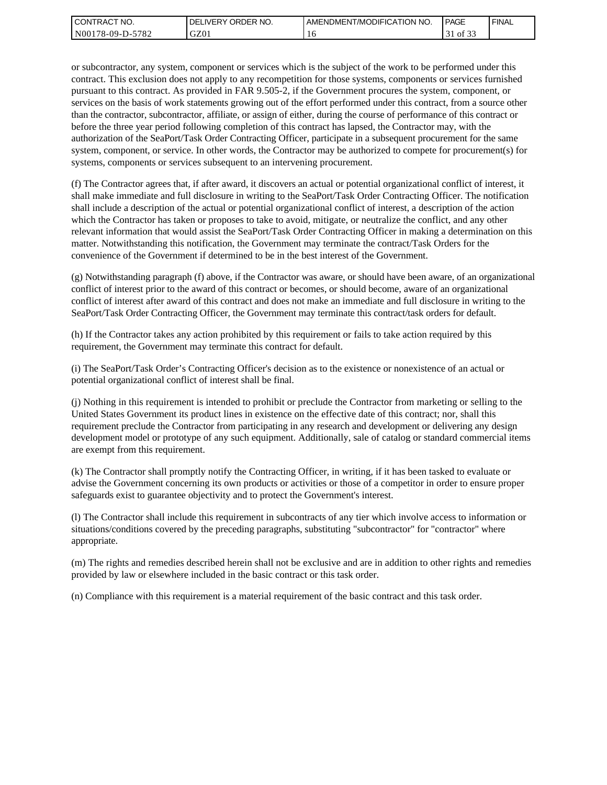| l CON <sup>-</sup><br>'TRACT NO. | NO.<br>ORDER<br>.IVERY<br>DELI | AMENDMENT/MODIFICATION NO. | <b>PAGE</b>                       | ' FINAL |
|----------------------------------|--------------------------------|----------------------------|-----------------------------------|---------|
| N00178-09-D-5<br>5782            | GZ01                           | . U                        | $\sim$ $\sim$<br>ΟĪ<br><u>. .</u> |         |

or subcontractor, any system, component or services which is the subject of the work to be performed under this contract. This exclusion does not apply to any recompetition for those systems, components or services furnished pursuant to this contract. As provided in FAR 9.505-2, if the Government procures the system, component, or services on the basis of work statements growing out of the effort performed under this contract, from a source other than the contractor, subcontractor, affiliate, or assign of either, during the course of performance of this contract or before the three year period following completion of this contract has lapsed, the Contractor may, with the authorization of the SeaPort/Task Order Contracting Officer, participate in a subsequent procurement for the same system, component, or service. In other words, the Contractor may be authorized to compete for procurement(s) for systems, components or services subsequent to an intervening procurement.

(f) The Contractor agrees that, if after award, it discovers an actual or potential organizational conflict of interest, it shall make immediate and full disclosure in writing to the SeaPort/Task Order Contracting Officer. The notification shall include a description of the actual or potential organizational conflict of interest, a description of the action which the Contractor has taken or proposes to take to avoid, mitigate, or neutralize the conflict, and any other relevant information that would assist the SeaPort/Task Order Contracting Officer in making a determination on this matter. Notwithstanding this notification, the Government may terminate the contract/Task Orders for the convenience of the Government if determined to be in the best interest of the Government.

(g) Notwithstanding paragraph (f) above, if the Contractor was aware, or should have been aware, of an organizational conflict of interest prior to the award of this contract or becomes, or should become, aware of an organizational conflict of interest after award of this contract and does not make an immediate and full disclosure in writing to the SeaPort/Task Order Contracting Officer, the Government may terminate this contract/task orders for default.

(h) If the Contractor takes any action prohibited by this requirement or fails to take action required by this requirement, the Government may terminate this contract for default.

(i) The SeaPort/Task Order's Contracting Officer's decision as to the existence or nonexistence of an actual or potential organizational conflict of interest shall be final.

(j) Nothing in this requirement is intended to prohibit or preclude the Contractor from marketing or selling to the United States Government its product lines in existence on the effective date of this contract; nor, shall this requirement preclude the Contractor from participating in any research and development or delivering any design development model or prototype of any such equipment. Additionally, sale of catalog or standard commercial items are exempt from this requirement.

(k) The Contractor shall promptly notify the Contracting Officer, in writing, if it has been tasked to evaluate or advise the Government concerning its own products or activities or those of a competitor in order to ensure proper safeguards exist to guarantee objectivity and to protect the Government's interest.

(l) The Contractor shall include this requirement in subcontracts of any tier which involve access to information or situations/conditions covered by the preceding paragraphs, substituting "subcontractor" for "contractor" where appropriate.

(m) The rights and remedies described herein shall not be exclusive and are in addition to other rights and remedies provided by law or elsewhere included in the basic contract or this task order.

(n) Compliance with this requirement is a material requirement of the basic contract and this task order.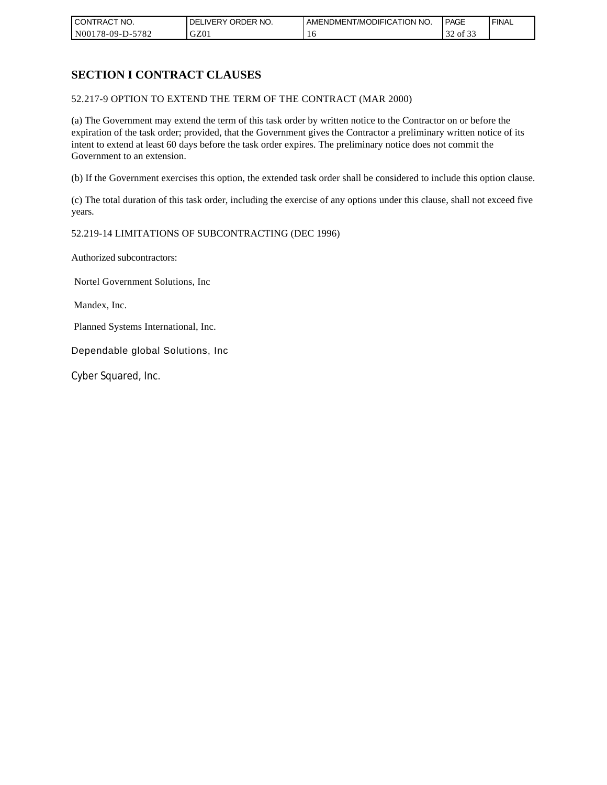| CONTRACT NO.     | ORDER <sup>'</sup><br>NO.<br><b>DELIVERY</b> | AMENDMENT/MODIFICATION NO. | PAGE                     | <b>FINAL</b> |
|------------------|----------------------------------------------|----------------------------|--------------------------|--------------|
| N00178-09-D-5782 | GZ01                                         | 1 U                        | $\bigcap$<br>of 33<br>32 |              |

# **SECTION I CONTRACT CLAUSES**

52.217-9 OPTION TO EXTEND THE TERM OF THE CONTRACT (MAR 2000)

(a) The Government may extend the term of this task order by written notice to the Contractor on or before the expiration of the task order; provided, that the Government gives the Contractor a preliminary written notice of its intent to extend at least 60 days before the task order expires. The preliminary notice does not commit the Government to an extension.

(b) If the Government exercises this option, the extended task order shall be considered to include this option clause.

(c) The total duration of this task order, including the exercise of any options under this clause, shall not exceed five years.

### 52.219-14 LIMITATIONS OF SUBCONTRACTING (DEC 1996)

Authorized subcontractors:

Nortel Government Solutions, Inc

Mandex, Inc.

Planned Systems International, Inc.

Dependable global Solutions, Inc

Cyber Squared, Inc.